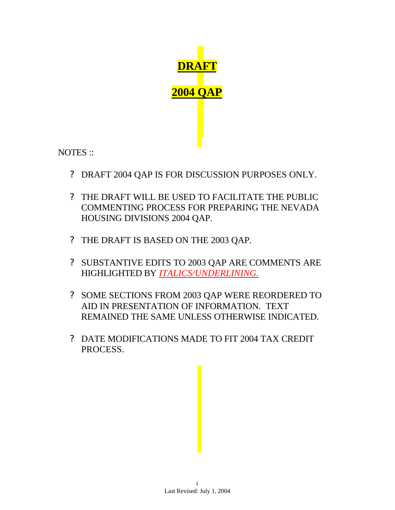

NOTES ::

- ? DRAFT 2004 QAP IS FOR DISCUSSION PURPOSES ONLY.
- ? THE DRAFT WILL BE USED TO FACILITATE THE PUBLIC COMMENTING PROCESS FOR PREPARING THE NEVADA HOUSING DIVISIONS 2004 QAP.
- ? THE DRAFT IS BASED ON THE 2003 QAP.
- ? SUBSTANTIVE EDITS TO 2003 QAP ARE COMMENTS ARE HIGHLIGHTED BY *ITALICS/UNDERLINING.*
- ? SOME SECTIONS FROM 2003 QAP WERE REORDERED TO AID IN PRESENTATION OF INFORMATION. TEXT REMAINED THE SAME UNLESS OTHERWISE INDICATED.
- ? DATE MODIFICATIONS MADE TO FIT 2004 TAX CREDIT PROCESS.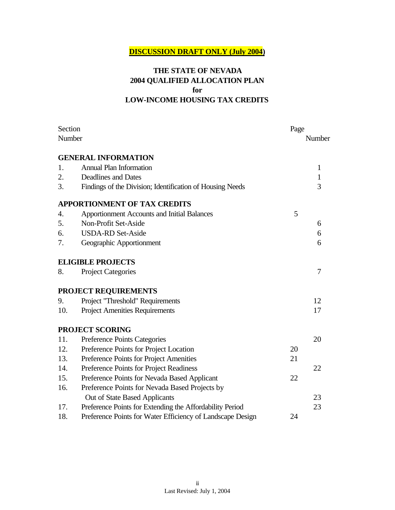# **DISCUSSION DRAFT ONLY (July 2004)**

# **THE STATE OF NEVADA 2004 QUALIFIED ALLOCATION PLAN for LOW-INCOME HOUSING TAX CREDITS**

| Section |                                                            | Page |              |
|---------|------------------------------------------------------------|------|--------------|
| Number  |                                                            |      | Number       |
|         | <b>GENERAL INFORMATION</b>                                 |      |              |
| 1.      | <b>Annual Plan Information</b>                             |      | $\mathbf{1}$ |
| 2.      | <b>Deadlines and Dates</b>                                 |      | $\mathbf{1}$ |
| 3.      | Findings of the Division; Identification of Housing Needs  |      | 3            |
|         | <b>APPORTIONMENT OF TAX CREDITS</b>                        |      |              |
| 4.      | <b>Apportionment Accounts and Initial Balances</b>         | 5    |              |
| 5.      | Non-Profit Set-Aside                                       |      | 6            |
| 6.      | <b>USDA-RD Set-Aside</b>                                   |      | 6            |
| 7.      | Geographic Apportionment                                   |      | 6            |
|         | <b>ELIGIBLE PROJECTS</b>                                   |      |              |
| 8.      | <b>Project Categories</b>                                  |      | 7            |
|         | PROJECT REQUIREMENTS                                       |      |              |
| 9.      | Project "Threshold" Requirements                           |      | 12           |
| 10.     | <b>Project Amenities Requirements</b>                      |      | 17           |
|         | <b>PROJECT SCORING</b>                                     |      |              |
| 11.     | Preference Points Categories                               |      | 20           |
| 12.     | Preference Points for Project Location                     | 20   |              |
| 13.     | Preference Points for Project Amenities                    | 21   |              |
| 14.     | Preference Points for Project Readiness                    |      | 22           |
| 15.     | Preference Points for Nevada Based Applicant               | 22   |              |
| 16.     | Preference Points for Nevada Based Projects by             |      |              |
|         | Out of State Based Applicants                              |      | 23           |
| 17.     | Preference Points for Extending the Affordability Period   |      | 23           |
| 18.     | Preference Points for Water Efficiency of Landscape Design | 24   |              |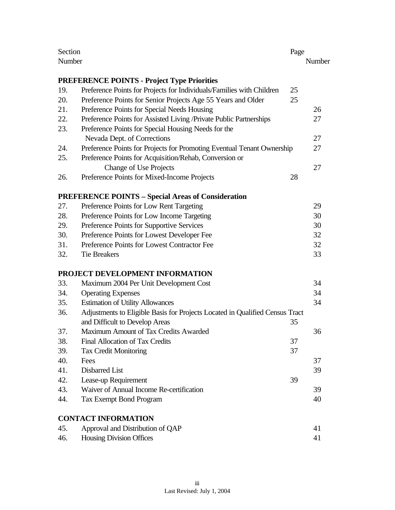| Section |                                                                              | Page |        |
|---------|------------------------------------------------------------------------------|------|--------|
| Number  |                                                                              |      | Number |
|         |                                                                              |      |        |
|         | <b>PREFERENCE POINTS - Project Type Priorities</b>                           |      |        |
| 19.     | Preference Points for Projects for Individuals/Families with Children        | 25   |        |
| 20.     | Preference Points for Senior Projects Age 55 Years and Older                 | 25   |        |
| 21.     | Preference Points for Special Needs Housing                                  |      | 26     |
| 22.     | Preference Points for Assisted Living /Private Public Partnerships           |      | 27     |
| 23.     | Preference Points for Special Housing Needs for the                          |      |        |
|         | Nevada Dept. of Corrections                                                  |      | 27     |
| 24.     | Preference Points for Projects for Promoting Eventual Tenant Ownership       |      | 27     |
| 25.     | Preference Points for Acquisition/Rehab, Conversion or                       |      |        |
|         | <b>Change of Use Projects</b>                                                |      | 27     |
| 26.     | Preference Points for Mixed-Income Projects                                  | 28   |        |
|         | <b>PREFERENCE POINTS - Special Areas of Consideration</b>                    |      |        |
| 27.     | Preference Points for Low Rent Targeting                                     |      | 29     |
| 28.     | Preference Points for Low Income Targeting                                   |      | 30     |
| 29.     | Preference Points for Supportive Services                                    |      | 30     |
| 30.     | Preference Points for Lowest Developer Fee                                   |      | 32     |
| 31.     | Preference Points for Lowest Contractor Fee                                  |      | 32     |
| 32.     | <b>Tie Breakers</b>                                                          |      | 33     |
|         | PROJECT DEVELOPMENT INFORMATION                                              |      |        |
| 33.     | Maximum 2004 Per Unit Development Cost                                       |      | 34     |
| 34.     | <b>Operating Expenses</b>                                                    |      | 34     |
| 35.     | <b>Estimation of Utility Allowances</b>                                      |      | 34     |
| 36.     | Adjustments to Eligible Basis for Projects Located in Qualified Census Tract |      |        |
|         | and Difficult to Develop Areas                                               | 35   |        |
| 37.     | Maximum Amount of Tax Credits Awarded                                        |      | 36     |
| 38.     | Final Allocation of Tax Credits                                              | 37   |        |
| 39.     | <b>Tax Credit Monitoring</b>                                                 | 37   |        |
| 40.     | Fees                                                                         |      | 37     |
| 41.     | Disbarred List                                                               |      | 39     |
| 42.     | Lease-up Requirement                                                         | 39   |        |
| 43.     | Waiver of Annual Income Re-certification                                     |      | 39     |
| 44.     | Tax Exempt Bond Program                                                      |      | 40     |
|         |                                                                              |      |        |
|         | <b>CONTACT INFORMATION</b>                                                   |      |        |
| 45.     | Approval and Distribution of QAP                                             |      | 41     |
| 46.     | Housing Division Offices                                                     |      | 41     |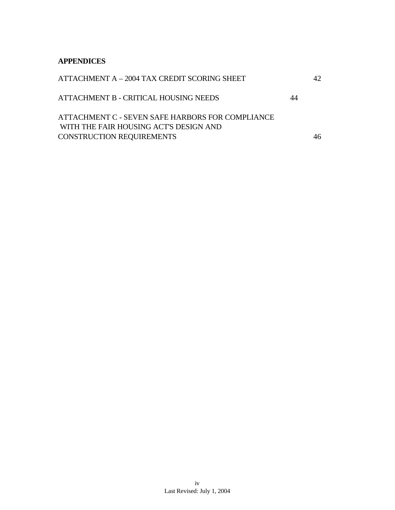**APPENDICES**

| ATTACHMENT A - 2004 TAX CREDIT SCORING SHEET                                               |    | 42. |
|--------------------------------------------------------------------------------------------|----|-----|
| ATTACHMENT B - CRITICAL HOUSING NEEDS                                                      | 44 |     |
| ATTACHMENT C - SEVEN SAFE HARBORS FOR COMPLIANCE<br>WITH THE FAIR HOUSING ACT'S DESIGN AND |    |     |
| <b>CONSTRUCTION REQUIREMENTS</b>                                                           |    |     |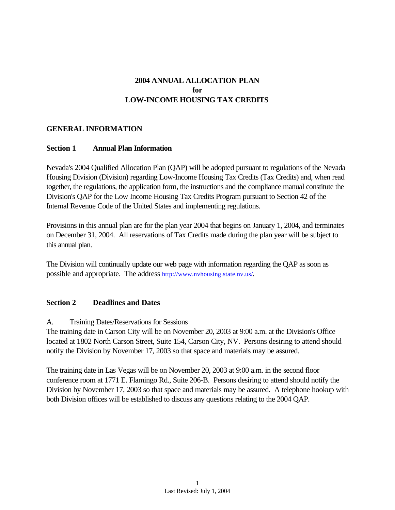# **2004 ANNUAL ALLOCATION PLAN for LOW-INCOME HOUSING TAX CREDITS**

### **GENERAL INFORMATION**

### **Section 1 Annual Plan Information**

Nevada's 2004 Qualified Allocation Plan (QAP) will be adopted pursuant to regulations of the Nevada Housing Division (Division) regarding Low-Income Housing Tax Credits (Tax Credits) and, when read together, the regulations, the application form, the instructions and the compliance manual constitute the Division's QAP for the Low Income Housing Tax Credits Program pursuant to Section 42 of the Internal Revenue Code of the United States and implementing regulations.

Provisions in this annual plan are for the plan year 2004 that begins on January 1, 2004, and terminates on December 31, 2004. All reservations of Tax Credits made during the plan year will be subject to this annual plan.

The Division will continually update our web page with information regarding the QAP as soon as possible and appropriate. The address http://www.nvhousing.state.nv.us/.

### **Section 2 Deadlines and Dates**

### A. Training Dates/Reservations for Sessions

The training date in Carson City will be on November 20, 2003 at 9:00 a.m. at the Division's Office located at 1802 North Carson Street, Suite 154, Carson City, NV. Persons desiring to attend should notify the Division by November 17, 2003 so that space and materials may be assured.

The training date in Las Vegas will be on November 20, 2003 at 9:00 a.m. in the second floor conference room at 1771 E. Flamingo Rd., Suite 206-B. Persons desiring to attend should notify the Division by November 17, 2003 so that space and materials may be assured. A telephone hookup with both Division offices will be established to discuss any questions relating to the 2004 QAP.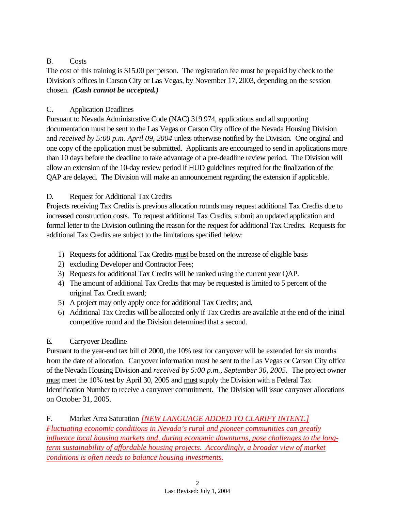# B. Costs

The cost of this training is \$15.00 per person. The registration fee must be prepaid by check to the Division's offices in Carson City or Las Vegas, by November 17, 2003, depending on the session chosen. *(Cash cannot be accepted.)*

# C. Application Deadlines

Pursuant to Nevada Administrative Code (NAC) 319.974, applications and all supporting documentation must be sent to the Las Vegas or Carson City office of the Nevada Housing Division and *received by 5:00 p.m. April 09, 2004* unless otherwise notified by the Division. One original and one copy of the application must be submitted. Applicants are encouraged to send in applications more than 10 days before the deadline to take advantage of a pre-deadline review period. The Division will allow an extension of the 10-day review period if HUD guidelines required for the finalization of the QAP are delayed. The Division will make an announcement regarding the extension if applicable.

# D. Request for Additional Tax Credits

Projects receiving Tax Credits is previous allocation rounds may request additional Tax Credits due to increased construction costs. To request additional Tax Credits, submit an updated application and formal letter to the Division outlining the reason for the request for additional Tax Credits. Requests for additional Tax Credits are subject to the limitations specified below:

- 1) Requests for additional Tax Credits must be based on the increase of eligible basis
- 2) excluding Developer and Contractor Fees;
- 3) Requests for additional Tax Credits will be ranked using the current year QAP.
- 4) The amount of additional Tax Credits that may be requested is limited to 5 percent of the original Tax Credit award;
- 5) A project may only apply once for additional Tax Credits; and,
- 6) Additional Tax Credits will be allocated only if Tax Credits are available at the end of the initial competitive round and the Division determined that a second.

# E. Carryover Deadline

Pursuant to the year-end tax bill of 2000, the 10% test for carryover will be extended for six months from the date of allocation. Carryover information must be sent to the Las Vegas or Carson City office of the Nevada Housing Division and *received by 5:00 p.m., September 30, 2005.* The project owner must meet the 10% test by April 30, 2005 and must supply the Division with a Federal Tax Identification Number to receive a carryover commitment. The Division will issue carryover allocations on October 31, 2005.

F. Market Area Saturation *[NEW LANGUAGE ADDED TO CLARIFY INTENT.] Fluctuating economic conditions in Nevada's rural and pioneer communities can greatly influence local housing markets and, during economic downturns, pose challenges to the longterm sustainability of affordable housing projects. Accordingly, a broader view of market conditions is often needs to balance housing investments.*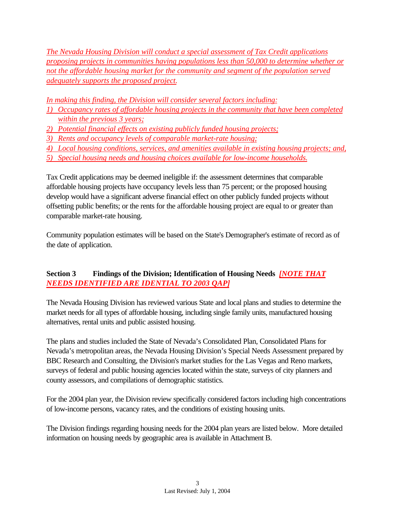*The Nevada Housing Division will conduct a special assessment of Tax Credit applications proposing projects in communities having populations less than 50,000 to determine whether or not the affordable housing market for the community and segment of the population served adequately supports the proposed project.*

*In making this finding, the Division will consider several factors including:*

- *1) Occupancy rates of affordable housing projects in the community that have been completed within the previous 3 years;*
- *2) Potential financial effects on existing publicly funded housing projects;*
- *3) Rents and occupancy levels of comparable market-rate housing;*
- *4) Local housing conditions, services, and amenities available in existing housing projects; and,*
- *5) Special housing needs and housing choices available for low-income households.*

Tax Credit applications may be deemed ineligible if: the assessment determines that comparable affordable housing projects have occupancy levels less than 75 percent; or the proposed housing develop would have a significant adverse financial effect on other publicly funded projects without offsetting public benefits; or the rents for the affordable housing project are equal to or greater than comparable market-rate housing.

Community population estimates will be based on the State's Demographer's estimate of record as of the date of application.

# **Section 3 Findings of the Division; Identification of Housing Needs** *[NOTE THAT NEEDS IDENTIFIED ARE IDENTIAL TO 2003 QAP]*

The Nevada Housing Division has reviewed various State and local plans and studies to determine the market needs for all types of affordable housing, including single family units, manufactured housing alternatives, rental units and public assisted housing.

The plans and studies included the State of Nevada's Consolidated Plan, Consolidated Plans for Nevada's metropolitan areas, the Nevada Housing Division's Special Needs Assessment prepared by BBC Research and Consulting, the Division's market studies for the Las Vegas and Reno markets, surveys of federal and public housing agencies located within the state, surveys of city planners and county assessors, and compilations of demographic statistics.

For the 2004 plan year, the Division review specifically considered factors including high concentrations of low-income persons, vacancy rates, and the conditions of existing housing units.

The Division findings regarding housing needs for the 2004 plan years are listed below. More detailed information on housing needs by geographic area is available in Attachment B.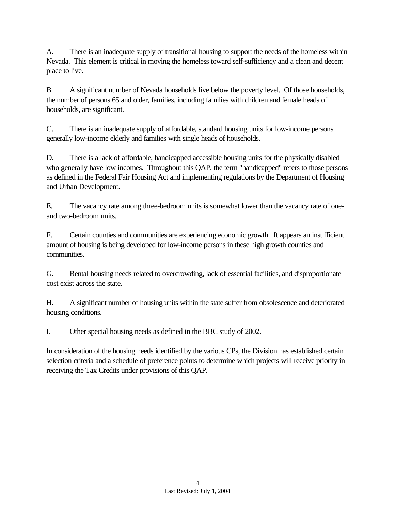A. There is an inadequate supply of transitional housing to support the needs of the homeless within Nevada. This element is critical in moving the homeless toward self-sufficiency and a clean and decent place to live.

B. A significant number of Nevada households live below the poverty level. Of those households, the number of persons 65 and older, families, including families with children and female heads of households, are significant.

C. There is an inadequate supply of affordable, standard housing units for low-income persons generally low-income elderly and families with single heads of households.

D. There is a lack of affordable, handicapped accessible housing units for the physically disabled who generally have low incomes. Throughout this QAP, the term "handicapped" refers to those persons as defined in the Federal Fair Housing Act and implementing regulations by the Department of Housing and Urban Development.

E. The vacancy rate among three-bedroom units is somewhat lower than the vacancy rate of oneand two-bedroom units.

F. Certain counties and communities are experiencing economic growth. It appears an insufficient amount of housing is being developed for low-income persons in these high growth counties and communities.

G. Rental housing needs related to overcrowding, lack of essential facilities, and disproportionate cost exist across the state.

H. A significant number of housing units within the state suffer from obsolescence and deteriorated housing conditions.

I. Other special housing needs as defined in the BBC study of 2002.

In consideration of the housing needs identified by the various CPs, the Division has established certain selection criteria and a schedule of preference points to determine which projects will receive priority in receiving the Tax Credits under provisions of this QAP.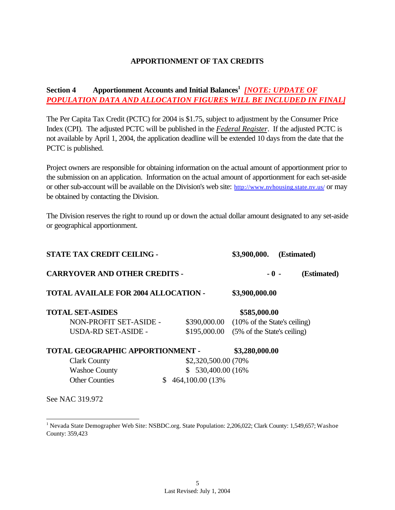### **APPORTIONMENT OF TAX CREDITS**

# **Section 4 Apportionment Accounts and Initial Balances<sup>1</sup>** *[NOTE: UPDATE OF POPULATION DATA AND ALLOCATION FIGURES WILL BE INCLUDED IN FINAL]*

The Per Capita Tax Credit (PCTC) for 2004 is \$1.75, subject to adjustment by the Consumer Price Index (CPI). The adjusted PCTC will be published in the *Federal Register*. If the adjusted PCTC is not available by April 1, 2004, the application deadline will be extended 10 days from the date that the PCTC is published.

Project owners are responsible for obtaining information on the actual amount of apportionment prior to the submission on an application. Information on the actual amount of apportionment for each set-aside or other sub-account will be available on the Division's web site: http://www.nvhousing.state.nv.us/ or may be obtained by contacting the Division.

The Division reserves the right to round up or down the actual dollar amount designated to any set-aside or geographical apportionment.

| STATE TAX CREDIT CEILING -                  |                      | \$3,900,000.<br>(Estimated)               |  |
|---------------------------------------------|----------------------|-------------------------------------------|--|
| <b>CARRYOVER AND OTHER CREDITS -</b>        |                      | (Estimated)<br>$-0 -$                     |  |
| <b>TOTAL AVAILALE FOR 2004 ALLOCATION -</b> |                      | \$3,900,000.00                            |  |
| <b>TOTAL SET-ASIDES</b>                     |                      | \$585,000.00                              |  |
| NON-PROFIT SET-ASIDE -                      |                      | \$390,000.00 (10% of the State's ceiling) |  |
| <b>USDA-RD SET-ASIDE -</b>                  |                      | \$195,000.00 (5% of the State's ceiling)  |  |
| <b>TOTAL GEOGRAPHIC APPORTIONMENT -</b>     |                      | \$3,280,000.00                            |  |
| <b>Clark County</b>                         | \$2,320,500.00 (70%) |                                           |  |
| <b>Washoe County</b>                        | 530,400.00 (16%)     |                                           |  |
| <b>Other Counties</b>                       | 464,100.00 (13%)     |                                           |  |

See NAC 319.972

l

<sup>&</sup>lt;sup>1</sup> Nevada State Demographer Web Site: NSBDC.org. State Population: 2,206,022; Clark County: 1,549,657; Washoe County: 359,423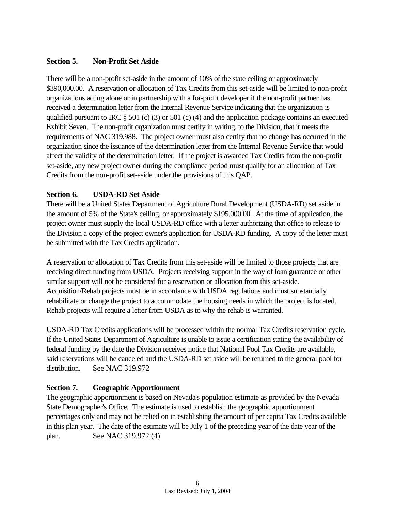### **Section 5. Non-Profit Set Aside**

There will be a non-profit set-aside in the amount of 10% of the state ceiling or approximately \$390,000.00. A reservation or allocation of Tax Credits from this set-aside will be limited to non-profit organizations acting alone or in partnership with a for-profit developer if the non-profit partner has received a determination letter from the Internal Revenue Service indicating that the organization is qualified pursuant to IRC  $\S 501$  (c) (3) or 501 (c) (4) and the application package contains an executed Exhibit Seven. The non-profit organization must certify in writing, to the Division, that it meets the requirements of NAC 319.988. The project owner must also certify that no change has occurred in the organization since the issuance of the determination letter from the Internal Revenue Service that would affect the validity of the determination letter. If the project is awarded Tax Credits from the non-profit set-aside, any new project owner during the compliance period must qualify for an allocation of Tax Credits from the non-profit set-aside under the provisions of this QAP.

### **Section 6. USDA-RD Set Aside**

There will be a United States Department of Agriculture Rural Development (USDA-RD) set aside in the amount of 5% of the State's ceiling, or approximately \$195,000.00. At the time of application, the project owner must supply the local USDA-RD office with a letter authorizing that office to release to the Division a copy of the project owner's application for USDA-RD funding. A copy of the letter must be submitted with the Tax Credits application.

A reservation or allocation of Tax Credits from this set-aside will be limited to those projects that are receiving direct funding from USDA. Projects receiving support in the way of loan guarantee or other similar support will not be considered for a reservation or allocation from this set-aside. Acquisition/Rehab projects must be in accordance with USDA regulations and must substantially rehabilitate or change the project to accommodate the housing needs in which the project is located. Rehab projects will require a letter from USDA as to why the rehab is warranted.

USDA-RD Tax Credits applications will be processed within the normal Tax Credits reservation cycle. If the United States Department of Agriculture is unable to issue a certification stating the availability of federal funding by the date the Division receives notice that National Pool Tax Credits are available, said reservations will be canceled and the USDA-RD set aside will be returned to the general pool for distribution. See NAC 319.972

### **Section 7. Geographic Apportionment**

The geographic apportionment is based on Nevada's population estimate as provided by the Nevada State Demographer's Office. The estimate is used to establish the geographic apportionment percentages only and may not be relied on in establishing the amount of per capita Tax Credits available in this plan year. The date of the estimate will be July 1 of the preceding year of the date year of the plan. See NAC 319.972 (4)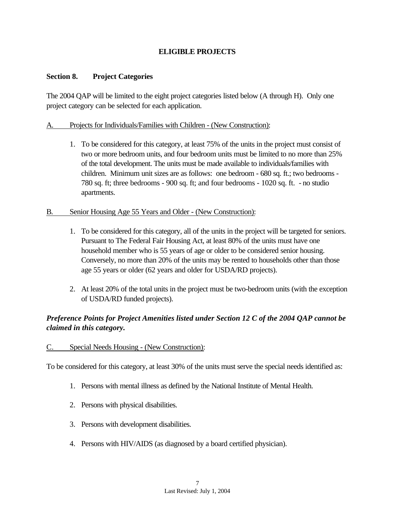# **ELIGIBLE PROJECTS**

### **Section 8. Project Categories**

The 2004 QAP will be limited to the eight project categories listed below (A through H). Only one project category can be selected for each application.

### A. Projects for Individuals/Families with Children - (New Construction):

1. To be considered for this category, at least 75% of the units in the project must consist of two or more bedroom units, and four bedroom units must be limited to no more than 25% of the total development. The units must be made available to individuals/families with children. Minimum unit sizes are as follows: one bedroom - 680 sq. ft.; two bedrooms - 780 sq. ft; three bedrooms - 900 sq. ft; and four bedrooms - 1020 sq. ft. - no studio apartments.

### B. Senior Housing Age 55 Years and Older - (New Construction):

- 1. To be considered for this category, all of the units in the project will be targeted for seniors. Pursuant to The Federal Fair Housing Act, at least 80% of the units must have one household member who is 55 years of age or older to be considered senior housing. Conversely, no more than 20% of the units may be rented to households other than those age 55 years or older (62 years and older for USDA/RD projects).
- 2. At least 20% of the total units in the project must be two-bedroom units (with the exception of USDA/RD funded projects).

## *Preference Points for Project Amenities listed under Section 12 C of the 2004 QAP cannot be claimed in this category.*

C. Special Needs Housing - (New Construction):

To be considered for this category, at least 30% of the units must serve the special needs identified as:

- 1. Persons with mental illness as defined by the National Institute of Mental Health.
- 2. Persons with physical disabilities.
- 3. Persons with development disabilities.
- 4. Persons with HIV/AIDS (as diagnosed by a board certified physician).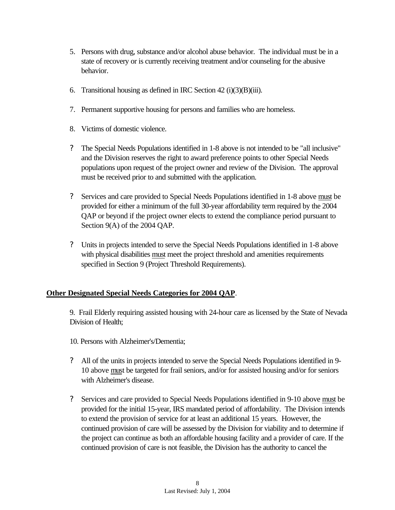- 5. Persons with drug, substance and/or alcohol abuse behavior. The individual must be in a state of recovery or is currently receiving treatment and/or counseling for the abusive behavior.
- 6. Transitional housing as defined in IRC Section 42 (i)(3)(B)(iii).
- 7. Permanent supportive housing for persons and families who are homeless.
- 8. Victims of domestic violence.
- ? The Special Needs Populations identified in 1-8 above is not intended to be "all inclusive" and the Division reserves the right to award preference points to other Special Needs populations upon request of the project owner and review of the Division. The approval must be received prior to and submitted with the application.
- ? Services and care provided to Special Needs Populations identified in 1-8 above must be provided for either a minimum of the full 30-year affordability term required by the 2004 QAP or beyond if the project owner elects to extend the compliance period pursuant to Section 9(A) of the 2004 QAP.
- ? Units in projects intended to serve the Special Needs Populations identified in 1-8 above with physical disabilities must meet the project threshold and amenities requirements specified in Section 9 (Project Threshold Requirements).

### **Other Designated Special Needs Categories for 2004 QAP**.

9. Frail Elderly requiring assisted housing with 24-hour care as licensed by the State of Nevada Division of Health;

10. Persons with Alzheimer's/Dementia;

- ? All of the units in projects intended to serve the Special Needs Populations identified in 9- 10 above must be targeted for frail seniors, and/or for assisted housing and/or for seniors with Alzheimer's disease.
- ? Services and care provided to Special Needs Populations identified in 9-10 above must be provided for the initial 15-year, IRS mandated period of affordability. The Division intends to extend the provision of service for at least an additional 15 years. However, the continued provision of care will be assessed by the Division for viability and to determine if the project can continue as both an affordable housing facility and a provider of care. If the continued provision of care is not feasible, the Division has the authority to cancel the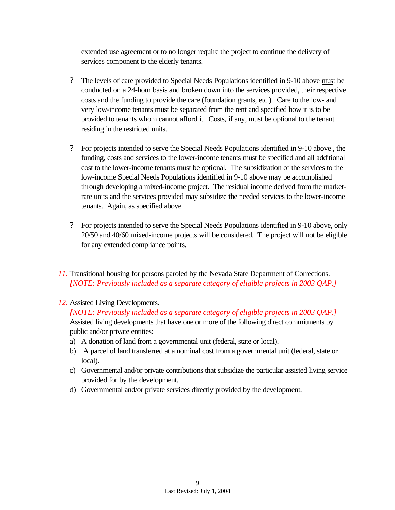extended use agreement or to no longer require the project to continue the delivery of services component to the elderly tenants.

- ? The levels of care provided to Special Needs Populations identified in 9-10 above must be conducted on a 24-hour basis and broken down into the services provided, their respective costs and the funding to provide the care (foundation grants, etc.). Care to the low- and very low-income tenants must be separated from the rent and specified how it is to be provided to tenants whom cannot afford it. Costs, if any, must be optional to the tenant residing in the restricted units.
- ? For projects intended to serve the Special Needs Populations identified in 9-10 above , the funding, costs and services to the lower-income tenants must be specified and all additional cost to the lower-income tenants must be optional. The subsidization of the services to the low-income Special Needs Populations identified in 9-10 above may be accomplished through developing a mixed-income project. The residual income derived from the marketrate units and the services provided may subsidize the needed services to the lower-income tenants. Again, as specified above
- ? For projects intended to serve the Special Needs Populations identified in 9-10 above, only 20/50 and 40/60 mixed-income projects will be considered. The project will not be eligible for any extended compliance points.
- *11.* Transitional housing for persons paroled by the Nevada State Department of Corrections. *[NOTE: Previously included as a separate category of eligible projects in 2003 QAP.]*
- *12.* Assisted Living Developments.

*[NOTE: Previously included as a separate category of eligible projects in 2003 QAP.]* Assisted living developments that have one or more of the following direct commitments by public and/or private entities:

- a) A donation of land from a governmental unit (federal, state or local).
- b) A parcel of land transferred at a nominal cost from a governmental unit (federal, state or local).
- c) Governmental and/or private contributions that subsidize the particular assisted living service provided for by the development.
- d) Governmental and/or private services directly provided by the development.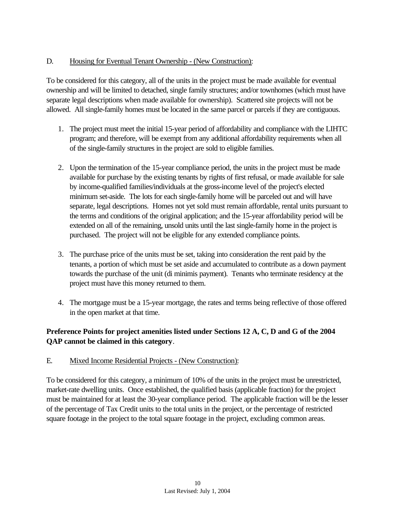## D. Housing for Eventual Tenant Ownership - (New Construction):

To be considered for this category, all of the units in the project must be made available for eventual ownership and will be limited to detached, single family structures; and/or townhomes (which must have separate legal descriptions when made available for ownership). Scattered site projects will not be allowed. All single-family homes must be located in the same parcel or parcels if they are contiguous.

- 1. The project must meet the initial 15-year period of affordability and compliance with the LIHTC program; and therefore, will be exempt from any additional affordability requirements when all of the single-family structures in the project are sold to eligible families.
- 2. Upon the termination of the 15-year compliance period, the units in the project must be made available for purchase by the existing tenants by rights of first refusal, or made available for sale by income-qualified families/individuals at the gross-income level of the project's elected minimum set-aside. The lots for each single-family home will be parceled out and will have separate, legal descriptions. Homes not yet sold must remain affordable, rental units pursuant to the terms and conditions of the original application; and the 15-year affordability period will be extended on all of the remaining, unsold units until the last single-family home in the project is purchased. The project will not be eligible for any extended compliance points.
- 3. The purchase price of the units must be set, taking into consideration the rent paid by the tenants, a portion of which must be set aside and accumulated to contribute as a down payment towards the purchase of the unit (di minimis payment). Tenants who terminate residency at the project must have this money returned to them.
- 4. The mortgage must be a 15-year mortgage, the rates and terms being reflective of those offered in the open market at that time.

# **Preference Points for project amenities listed under Sections 12 A, C, D and G of the 2004 QAP cannot be claimed in this category**.

### E. Mixed Income Residential Projects - (New Construction):

To be considered for this category, a minimum of 10% of the units in the project must be unrestricted, market-rate dwelling units. Once established, the qualified basis (applicable fraction) for the project must be maintained for at least the 30-year compliance period. The applicable fraction will be the lesser of the percentage of Tax Credit units to the total units in the project, or the percentage of restricted square footage in the project to the total square footage in the project, excluding common areas.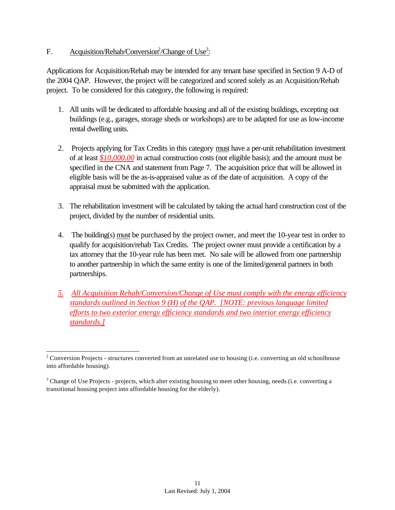# F. Acquisition/Rehab/Conversion<sup>2</sup>/Change of Use<sup>3</sup>:

l

Applications for Acquisition/Rehab may be intended for any tenant base specified in Section 9 A-D of the 2004 QAP. However, the project will be categorized and scored solely as an Acquisition/Rehab project. To be considered for this category, the following is required:

- 1. All units will be dedicated to affordable housing and all of the existing buildings, excepting out buildings (e.g., garages, storage sheds or workshops) are to be adapted for use as low-income rental dwelling units.
- 2. Projects applying for Tax Credits in this category must have a per-unit rehabilitation investment of at least *\$10,000.00* in actual construction costs (not eligible basis); and the amount must be specified in the CNA and statement from Page 7. The acquisition price that will be allowed in eligible basis will be the as-is-appraised value as of the date of acquisition. A copy of the appraisal must be submitted with the application.
- 3. The rehabilitation investment will be calculated by taking the actual hard construction cost of the project, divided by the number of residential units.
- 4. The building(s) must be purchased by the project owner, and meet the 10-year test in order to qualify for acquisition/rehab Tax Credits. The project owner must provide a certification by a tax attorney that the 10-year rule has been met. No sale will be allowed from one partnership to another partnership in which the same entity is one of the limited/general partners in both partnerships.
- *5. All Acquisition Rehab/Conversion/Change of Use must comply with the energy efficiency standards outlined in Section 9 (H) of the QAP. [NOTE: previous language limited efforts to two exterior energy efficiency standards and two interior energy efficiency standards.]*

 $2^2$  Conversion Projects - structures converted from an unrelated use to housing (i.e. converting an old schoolhouse into affordable housing).

 $3$  Change of Use Projects - projects, which alter existing housing to meet other housing, needs (i.e. converting a transitional housing project into affordable housing for the elderly).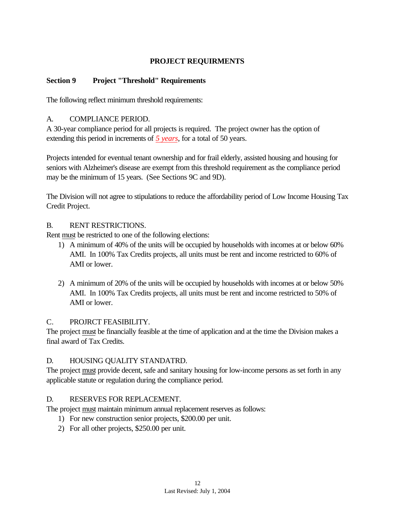## **PROJECT REQUIRMENTS**

## **Section 9 Project "Threshold" Requirements**

The following reflect minimum threshold requirements:

### A. COMPLIANCE PERIOD.

A 30-year compliance period for all projects is required. The project owner has the option of extending this period in increments of *5 years*, for a total of 50 years.

Projects intended for eventual tenant ownership and for frail elderly, assisted housing and housing for seniors with Alzheimer's disease are exempt from this threshold requirement as the compliance period may be the minimum of 15 years. (See Sections 9C and 9D).

The Division will not agree to stipulations to reduce the affordability period of Low Income Housing Tax Credit Project.

### B. RENT RESTRICTIONS.

Rent must be restricted to one of the following elections:

- 1) A minimum of 40% of the units will be occupied by households with incomes at or below 60% AMI. In 100% Tax Credits projects, all units must be rent and income restricted to 60% of AMI or lower.
- 2) A minimum of 20% of the units will be occupied by households with incomes at or below 50% AMI. In 100% Tax Credits projects, all units must be rent and income restricted to 50% of AMI or lower.

### C. PROJRCT FEASIBILITY.

The project must be financially feasible at the time of application and at the time the Division makes a final award of Tax Credits.

### D. HOUSING QUALITY STANDATRD.

The project must provide decent, safe and sanitary housing for low-income persons as set forth in any applicable statute or regulation during the compliance period.

### D. RESERVES FOR REPLACEMENT.

The project must maintain minimum annual replacement reserves as follows:

- 1) For new construction senior projects, \$200.00 per unit.
- 2) For all other projects, \$250.00 per unit.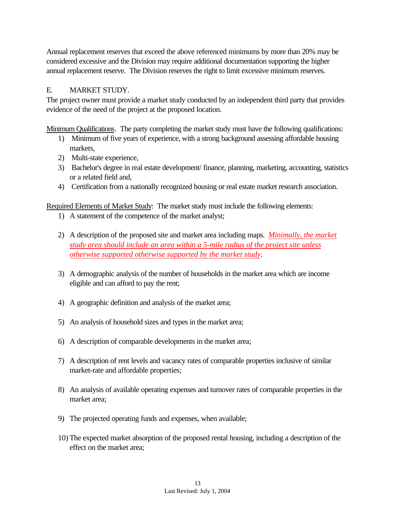Annual replacement reserves that exceed the above referenced minimums by more than 20% may be considered excessive and the Division may require additional documentation supporting the higher annual replacement reserve. The Division reserves the right to limit excessive minimum reserves.

## E. MARKET STUDY.

The project owner must provide a market study conducted by an independent third party that provides evidence of the need of the project at the proposed location.

Minimum Qualifications. The party completing the market study must have the following qualifications:

- 1) Minimum of five years of experience, with a strong background assessing affordable housing markets,
- 2) Multi-state experience,
- 3) Bachelor's degree in real estate development/ finance, planning, marketing, accounting, statistics or a related field and,
- 4) Certification from a nationally recognized housing or real estate market research association.

Required Elements of Market Study: The market study must include the following elements:

- 1) A statement of the competence of the market analyst;
- 2) A description of the proposed site and market area including maps. *Minimally, the market study area should include an area within a 5-mile radius of the project site unless otherwise supported otherwise supported by the market study*.
- 3) A demographic analysis of the number of households in the market area which are income eligible and can afford to pay the rent;
- 4) A geographic definition and analysis of the market area;
- 5) An analysis of household sizes and types in the market area;
- 6) A description of comparable developments in the market area;
- 7) A description of rent levels and vacancy rates of comparable properties inclusive of similar market-rate and affordable properties;
- 8) An analysis of available operating expenses and turnover rates of comparable properties in the market area;
- 9) The projected operating funds and expenses, when available;
- 10) The expected market absorption of the proposed rental housing, including a description of the effect on the market area;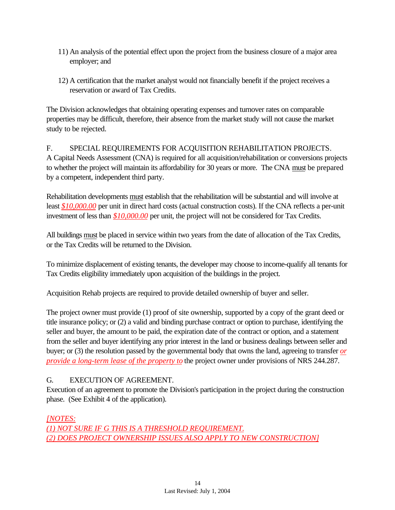- 11) An analysis of the potential effect upon the project from the business closure of a major area employer; and
- 12) A certification that the market analyst would not financially benefit if the project receives a reservation or award of Tax Credits.

The Division acknowledges that obtaining operating expenses and turnover rates on comparable properties may be difficult, therefore, their absence from the market study will not cause the market study to be rejected.

## F. SPECIAL REQUIREMENTS FOR ACQUISITION REHABILITATION PROJECTS*.* A Capital Needs Assessment (CNA) is required for all acquisition/rehabilitation or conversions projects to whether the project will maintain its affordability for 30 years or more. The CNA must be prepared by a competent, independent third party.

Rehabilitation developments must establish that the rehabilitation will be substantial and will involve at least *\$10,000.00* per unit in direct hard costs (actual construction costs). If the CNA reflects a per-unit investment of less than *\$10,000.00* per unit, the project will not be considered for Tax Credits.

All buildings must be placed in service within two years from the date of allocation of the Tax Credits, or the Tax Credits will be returned to the Division.

To minimize displacement of existing tenants, the developer may choose to income-qualify all tenants for Tax Credits eligibility immediately upon acquisition of the buildings in the project.

Acquisition Rehab projects are required to provide detailed ownership of buyer and seller.

The project owner must provide (1) proof of site ownership, supported by a copy of the grant deed or title insurance policy; or (2) a valid and binding purchase contract or option to purchase, identifying the seller and buyer, the amount to be paid, the expiration date of the contract or option, and a statement from the seller and buyer identifying any prior interest in the land or business dealings between seller and buyer; or (3) the resolution passed by the governmental body that owns the land, agreeing to transfer *or provide a long-term lease of the property to* the project owner under provisions of NRS 244.287.

# G. EXECUTION OF AGREEMENT.

Execution of an agreement to promote the Division's participation in the project during the construction phase. (See Exhibit 4 of the application).

*[NOTES: (1) NOT SURE IF G THIS IS A THRESHOLD REQUIREMENT. (2) DOES PROJECT OWNERSHIP ISSUES ALSO APPLY TO NEW CONSTRUCTION]*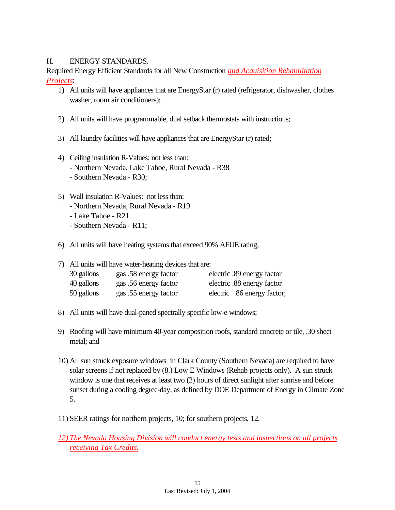### H. ENERGY STANDARDS.

Required Energy Efficient Standards for all New Construction *and Acquisition Rehabilitation Projects*:

- 1) All units will have appliances that are EnergyStar (r) rated (refrigerator, dishwasher, clothes washer, room air conditioners);
- 2) All units will have programmable, dual setback thermostats with instructions;
- 3) All laundry facilities will have appliances that are EnergyStar (r) rated;
- 4) Ceiling insulation R-Values: not less than: - Northern Nevada, Lake Tahoe, Rural Nevada - R38 - Southern Nevada - R30;
- 5) Wall insulation R-Values: not less than:
	- Northern Nevada, Rural Nevada R19
	- Lake Tahoe R21
	- Southern Nevada R11;
- 6) All units will have heating systems that exceed 90% AFUE rating;

7) All units will have water-heating devices that are:

| 30 gallons | gas .58 energy factor | electric .89 energy factor  |
|------------|-----------------------|-----------------------------|
| 40 gallons | gas .56 energy factor | electric .88 energy factor  |
| 50 gallons | gas .55 energy factor | electric .86 energy factor; |

- 8) All units will have dual-paned spectrally specific low-e windows;
- 9) Roofing will have minimum 40-year composition roofs, standard concrete or tile, .30 sheet metal; and
- 10) All sun struck exposure windows in Clark County (Southern Nevada) are required to have solar screens if not replaced by (8.) Low E Windows (Rehab projects only). A sun struck window is one that receives at least two (2) hours of direct sunlight after sunrise and before sunset during a cooling degree-day, as defined by DOE Department of Energy in Climate Zone 5.
- 11) SEER ratings for northern projects, 10; for southern projects, 12.
- *12) The Nevada Housing Division will conduct energy tests and inspections on all projects receiving Tax Credits.*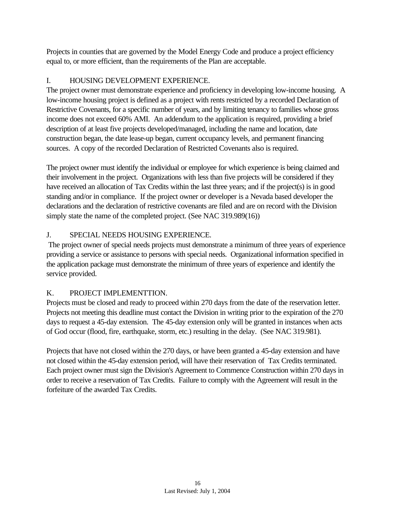Projects in counties that are governed by the Model Energy Code and produce a project efficiency equal to, or more efficient, than the requirements of the Plan are acceptable.

# I. HOUSING DEVELOPMENT EXPERIENCE.

The project owner must demonstrate experience and proficiency in developing low-income housing. A low-income housing project is defined as a project with rents restricted by a recorded Declaration of Restrictive Covenants, for a specific number of years, and by limiting tenancy to families whose gross income does not exceed 60% AMI. An addendum to the application is required, providing a brief description of at least five projects developed/managed, including the name and location, date construction began, the date lease-up began, current occupancy levels, and permanent financing sources. A copy of the recorded Declaration of Restricted Covenants also is required.

The project owner must identify the individual or employee for which experience is being claimed and their involvement in the project. Organizations with less than five projects will be considered if they have received an allocation of Tax Credits within the last three years; and if the project(s) is in good standing and/or in compliance. If the project owner or developer is a Nevada based developer the declarations and the declaration of restrictive covenants are filed and are on record with the Division simply state the name of the completed project. (See NAC 319.989(16))

# J. SPECIAL NEEDS HOUSING EXPERIENCE.

 The project owner of special needs projects must demonstrate a minimum of three years of experience providing a service or assistance to persons with special needs. Organizational information specified in the application package must demonstrate the minimum of three years of experience and identify the service provided.

# K. PROJECT IMPLEMENTTION.

Projects must be closed and ready to proceed within 270 days from the date of the reservation letter. Projects not meeting this deadline must contact the Division in writing prior to the expiration of the 270 days to request a 45-day extension. The 45-day extension only will be granted in instances when acts of God occur (flood, fire, earthquake, storm, etc.) resulting in the delay. (See NAC 319.981).

Projects that have not closed within the 270 days, or have been granted a 45-day extension and have not closed within the 45-day extension period, will have their reservation of Tax Credits terminated. Each project owner must sign the Division's Agreement to Commence Construction within 270 days in order to receive a reservation of Tax Credits. Failure to comply with the Agreement will result in the forfeiture of the awarded Tax Credits.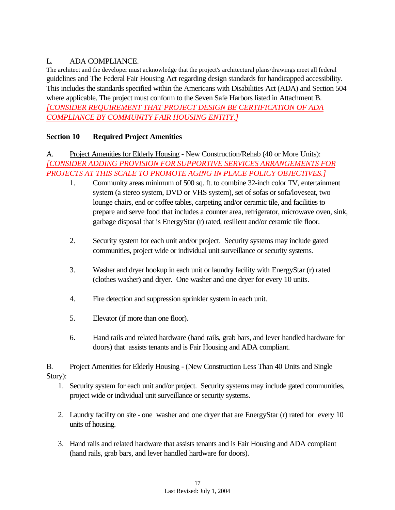# L. ADA COMPLIANCE.

The architect and the developer must acknowledge that the project's architectural plans/drawings meet all federal guidelines and The Federal Fair Housing Act regarding design standards for handicapped accessibility. This includes the standards specified within the Americans with Disabilities Act (ADA) and Section 504 where applicable. The project must conform to the Seven Safe Harbors listed in Attachment B. *[CONSIDER REQUIREMENT THAT PROJECT DESIGN BE CERTIFICATION OF ADA COMPLIANCE BY COMMUNITY FAIR HOUSING ENTITY.]*

### **Section 10 Required Project Amenities**

A. Project Amenities for Elderly Housing - New Construction/Rehab (40 or More Units): *[CONSIDER ADDING PROVISION FOR SUPPORTIVE SERVICES ARRANGEMENTS FOR PROJECTS AT THIS SCALE TO PROMOTE AGING IN PLACE POLICY OBJECTIVES.]*

- 1. Community areas minimum of 500 sq. ft. to combine 32-inch color TV, entertainment system (a stereo system, DVD or VHS system), set of sofas or sofa/loveseat, two lounge chairs, end or coffee tables, carpeting and/or ceramic tile, and facilities to prepare and serve food that includes a counter area, refrigerator, microwave oven, sink, garbage disposal that is EnergyStar (r) rated, resilient and/or ceramic tile floor.
- 2. Security system for each unit and/or project. Security systems may include gated communities, project wide or individual unit surveillance or security systems.
- 3. Washer and dryer hookup in each unit or laundry facility with EnergyStar (r) rated (clothes washer) and dryer. One washer and one dryer for every 10 units.
- 4. Fire detection and suppression sprinkler system in each unit.
- 5. Elevator (if more than one floor).
- 6. Hand rails and related hardware (hand rails, grab bars, and lever handled hardware for doors) that assists tenants and is Fair Housing and ADA compliant.

B. Project Amenities for Elderly Housing - (New Construction Less Than 40 Units and Single Story):

- 1. Security system for each unit and/or project. Security systems may include gated communities, project wide or individual unit surveillance or security systems.
- 2. Laundry facility on site one washer and one dryer that are EnergyStar (r) rated for every 10 units of housing.
- 3. Hand rails and related hardware that assists tenants and is Fair Housing and ADA compliant (hand rails, grab bars, and lever handled hardware for doors).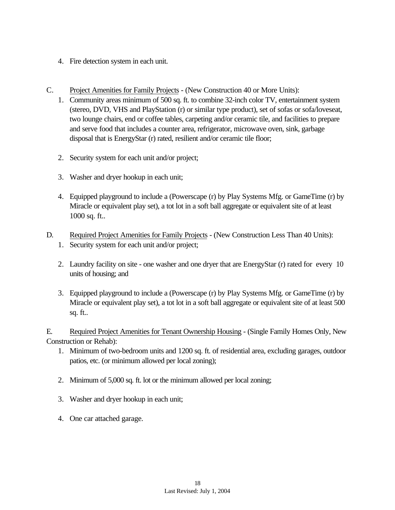- 4. Fire detection system in each unit.
- C. Project Amenities for Family Projects (New Construction 40 or More Units):
	- 1. Community areas minimum of 500 sq. ft. to combine 32-inch color TV, entertainment system (stereo, DVD, VHS and PlayStation (r) or similar type product), set of sofas or sofa/loveseat, two lounge chairs, end or coffee tables, carpeting and/or ceramic tile, and facilities to prepare and serve food that includes a counter area, refrigerator, microwave oven, sink, garbage disposal that is EnergyStar (r) rated, resilient and/or ceramic tile floor;
	- 2. Security system for each unit and/or project;
	- 3. Washer and dryer hookup in each unit;
	- 4. Equipped playground to include a (Powerscape (r) by Play Systems Mfg. or GameTime (r) by Miracle or equivalent play set), a tot lot in a soft ball aggregate or equivalent site of at least 1000 sq. ft..
- D. Required Project Amenities for Family Projects (New Construction Less Than 40 Units): 1. Security system for each unit and/or project;
	- 2. Laundry facility on site one washer and one dryer that are EnergyStar (r) rated for every 10 units of housing; and
	- 3. Equipped playground to include a (Powerscape (r) by Play Systems Mfg. or GameTime (r) by Miracle or equivalent play set), a tot lot in a soft ball aggregate or equivalent site of at least 500 sq. ft..

E. Required Project Amenities for Tenant Ownership Housing - (Single Family Homes Only, New Construction or Rehab):

- 1. Minimum of two-bedroom units and 1200 sq. ft. of residential area, excluding garages, outdoor patios, etc. (or minimum allowed per local zoning);
- 2. Minimum of 5,000 sq. ft. lot or the minimum allowed per local zoning;
- 3. Washer and dryer hookup in each unit;
- 4. One car attached garage.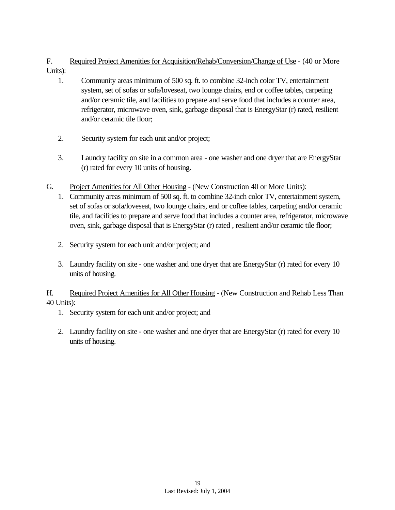# F. Required Project Amenities for Acquisition/Rehab/Conversion/Change of Use - (40 or More Units):

- 1. Community areas minimum of 500 sq. ft. to combine 32-inch color TV, entertainment system, set of sofas or sofa/loveseat, two lounge chairs, end or coffee tables, carpeting and/or ceramic tile, and facilities to prepare and serve food that includes a counter area, refrigerator, microwave oven, sink, garbage disposal that is EnergyStar (r) rated, resilient and/or ceramic tile floor;
- 2. Security system for each unit and/or project;
- 3. Laundry facility on site in a common area one washer and one dryer that are EnergyStar (r) rated for every 10 units of housing.
- G. Project Amenities for All Other Housing (New Construction 40 or More Units):
	- 1. Community areas minimum of 500 sq. ft. to combine 32-inch color TV, entertainment system, set of sofas or sofa/loveseat, two lounge chairs, end or coffee tables, carpeting and/or ceramic tile, and facilities to prepare and serve food that includes a counter area, refrigerator, microwave oven, sink, garbage disposal that is EnergyStar (r) rated , resilient and/or ceramic tile floor;
	- 2. Security system for each unit and/or project; and
	- 3. Laundry facility on site one washer and one dryer that are EnergyStar (r) rated for every 10 units of housing.

H. Required Project Amenities for All Other Housing - (New Construction and Rehab Less Than 40 Units):

- 1. Security system for each unit and/or project; and
- 2. Laundry facility on site one washer and one dryer that are EnergyStar (r) rated for every 10 units of housing.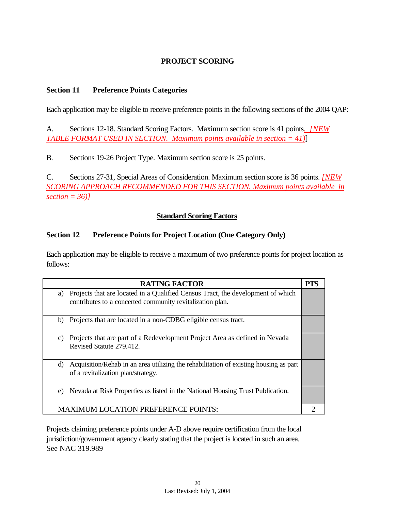# **PROJECT SCORING**

## **Section 11 Preference Points Categories**

Each application may be eligible to receive preference points in the following sections of the 2004 QAP:

A. Sections 12-18. Standard Scoring Factors. Maximum section score is 41 points*. [NEW TABLE FORMAT USED IN SECTION. Maximum points available in section = 41)*]

B. Sections 19-26 Project Type. Maximum section score is 25 points.

C. Sections 27-31, Special Areas of Consideration. Maximum section score is 36 points. *[NEW SCORING APPROACH RECOMMENDED FOR THIS SECTION. Maximum points available in section = 36)]*

### **Standard Scoring Factors**

### **Section 12 Preference Points for Project Location (One Category Only)**

Each application may be eligible to receive a maximum of two preference points for project location as follows:

| <b>RATING FACTOR</b>                                                                                                                               | <b>PTS</b> |
|----------------------------------------------------------------------------------------------------------------------------------------------------|------------|
| Projects that are located in a Qualified Census Tract, the development of which<br>a)<br>contributes to a concerted community revitalization plan. |            |
| Projects that are located in a non-CDBG eligible census tract.<br>b)                                                                               |            |
| Projects that are part of a Redevelopment Project Area as defined in Nevada<br>C)<br>Revised Statute 279.412.                                      |            |
| Acquisition/Rehab in an area utilizing the rehabilitation of existing housing as part<br>d)<br>of a revitalization plan/strategy.                  |            |
| Nevada at Risk Properties as listed in the National Housing Trust Publication.<br>e)                                                               |            |
| <b>MAXIMUM LOCATION PREFERENCE POINTS:</b>                                                                                                         |            |

Projects claiming preference points under A-D above require certification from the local jurisdiction/government agency clearly stating that the project is located in such an area. See NAC 319.989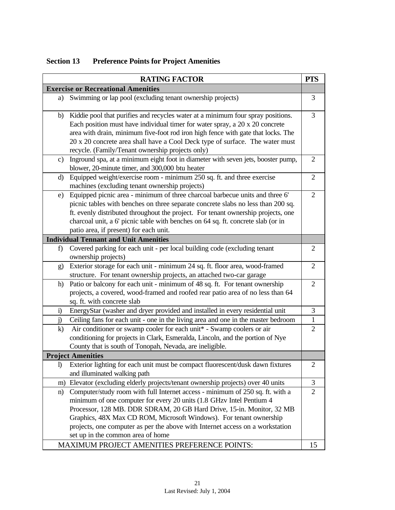# **Section 13 Preference Points for Project Amenities**

|              | <b>RATING FACTOR</b>                                                                                                                                                                                                                                                                                                                                                                                                       | <b>PTS</b>     |
|--------------|----------------------------------------------------------------------------------------------------------------------------------------------------------------------------------------------------------------------------------------------------------------------------------------------------------------------------------------------------------------------------------------------------------------------------|----------------|
|              | <b>Exercise or Recreational Amenities</b>                                                                                                                                                                                                                                                                                                                                                                                  |                |
| a)           | Swimming or lap pool (excluding tenant ownership projects)                                                                                                                                                                                                                                                                                                                                                                 | 3              |
|              | b) Kiddie pool that purifies and recycles water at a minimum four spray positions.<br>Each position must have individual timer for water spray, a 20 x 20 concrete<br>area with drain, minimum five-foot rod iron high fence with gate that locks. The                                                                                                                                                                     | 3              |
|              | 20 x 20 concrete area shall have a Cool Deck type of surface. The water must<br>recycle. (Family/Tenant ownership projects only)                                                                                                                                                                                                                                                                                           |                |
| c)           | Inground spa, at a minimum eight foot in diameter with seven jets, booster pump,<br>blower, 20-minute timer, and 300,000 btu heater                                                                                                                                                                                                                                                                                        | 2              |
| d)           | Equipped weight/exercise room - minimum 250 sq. ft. and three exercise<br>machines (excluding tenant ownership projects)                                                                                                                                                                                                                                                                                                   | 2              |
|              | e) Equipped picnic area - minimum of three charcoal barbecue units and three 6'<br>picnic tables with benches on three separate concrete slabs no less than 200 sq.<br>ft. evenly distributed throughout the project. For tenant ownership projects, one<br>charcoal unit, a 6' picnic table with benches on 64 sq. ft. concrete slab (or in<br>patio area, if present) for each unit.                                     | 2              |
|              | <b>Individual Tennant and Unit Amenities</b>                                                                                                                                                                                                                                                                                                                                                                               |                |
| f)           | Covered parking for each unit - per local building code (excluding tenant<br>ownership projects)                                                                                                                                                                                                                                                                                                                           | 2              |
| $\mathbf{g}$ | Exterior storage for each unit - minimum 24 sq. ft. floor area, wood-framed<br>structure. For tenant ownership projects, an attached two-car garage                                                                                                                                                                                                                                                                        | 2              |
| h)           | Patio or balcony for each unit - minimum of 48 sq. ft. For tenant ownership<br>projects, a covered, wood-framed and roofed rear patio area of no less than 64<br>sq. ft. with concrete slab                                                                                                                                                                                                                                | $\overline{2}$ |
| $\ddot{a}$   | EnergyStar (washer and dryer provided and installed in every residential unit                                                                                                                                                                                                                                                                                                                                              | 3              |
| $\ddot{D}$   | Ceiling fans for each unit - one in the living area and one in the master bedroom                                                                                                                                                                                                                                                                                                                                          | $\mathbf{1}$   |
| $\bf k$      | Air conditioner or swamp cooler for each unit* - Swamp coolers or air<br>conditioning for projects in Clark, Esmeralda, Lincoln, and the portion of Nye<br>County that is south of Tonopah, Nevada, are ineligible.                                                                                                                                                                                                        | $\overline{2}$ |
|              | <b>Project Amenities</b>                                                                                                                                                                                                                                                                                                                                                                                                   |                |
| $\mathbf{D}$ | Exterior lighting for each unit must be compact fluorescent/dusk dawn fixtures<br>and illuminated walking path                                                                                                                                                                                                                                                                                                             | 2              |
|              | m) Elevator (excluding elderly projects/tenant ownership projects) over 40 units                                                                                                                                                                                                                                                                                                                                           | 3              |
| n)           | Computer/study room with full Internet access - minimum of 250 sq. ft. with a<br>minimum of one computer for every 20 units (1.8 GHzv Intel Pentium 4<br>Processor, 128 MB. DDR SDRAM, 20 GB Hard Drive, 15-in. Monitor, 32 MB<br>Graphics, 48X Max CD ROM, Microsoft Windows). For tenant ownership<br>projects, one computer as per the above with Internet access on a workstation<br>set up in the common area of home | $\overline{2}$ |
|              | MAXIMUM PROJECT AMENITIES PREFERENCE POINTS:                                                                                                                                                                                                                                                                                                                                                                               | 15             |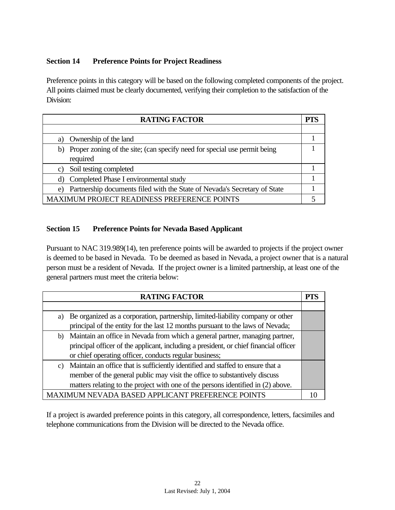# **Section 14 Preference Points for Project Readiness**

Preference points in this category will be based on the following completed components of the project. All points claimed must be clearly documented, verifying their completion to the satisfaction of the Division:

| <b>RATING FACTOR</b>                                                            | <b>PTS</b> |
|---------------------------------------------------------------------------------|------------|
|                                                                                 |            |
| Ownership of the land<br>a)                                                     |            |
| b) Proper zoning of the site; (can specify need for special use permit being    |            |
| required                                                                        |            |
| Soil testing completed<br>C)                                                    |            |
| Completed Phase I environmental study<br>d)                                     |            |
| Partnership documents filed with the State of Nevada's Secretary of State<br>e) |            |
| <b>MAXIMUM PROJECT READINESS PREFERENCE POINTS</b>                              |            |

# **Section 15 Preference Points for Nevada Based Applicant**

Pursuant to NAC 319.989(14), ten preference points will be awarded to projects if the project owner is deemed to be based in Nevada. To be deemed as based in Nevada, a project owner that is a natural person must be a resident of Nevada. If the project owner is a limited partnership, at least one of the general partners must meet the criteria below:

|    | <b>RATING FACTOR</b>                                                                  | PTS |
|----|---------------------------------------------------------------------------------------|-----|
|    |                                                                                       |     |
| a) | Be organized as a corporation, partnership, limited-liability company or other        |     |
|    | principal of the entity for the last 12 months pursuant to the laws of Nevada;        |     |
|    | b) Maintain an office in Nevada from which a general partner, managing partner,       |     |
|    | principal officer of the applicant, including a president, or chief financial officer |     |
|    | or chief operating officer, conducts regular business;                                |     |
|    | c) Maintain an office that is sufficiently identified and staffed to ensure that a    |     |
|    | member of the general public may visit the office to substantively discuss            |     |
|    | matters relating to the project with one of the persons identified in (2) above.      |     |
|    | M NEVADA BASED APPLICANT PREFERENCE POINTS                                            |     |

If a project is awarded preference points in this category, all correspondence, letters, facsimiles and telephone communications from the Division will be directed to the Nevada office.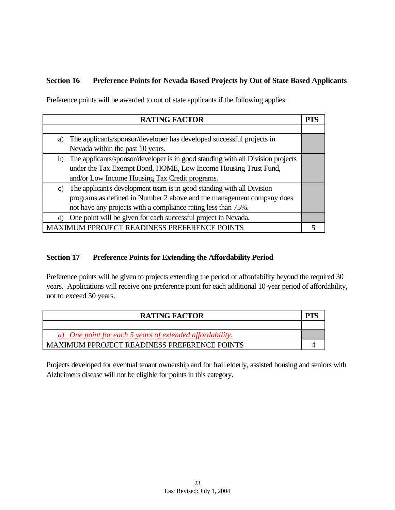# **Section 16 Preference Points for Nevada Based Projects by Out of State Based Applicants**

Preference points will be awarded to out of state applicants if the following applies:

|    | <b>RATING FACTOR</b>                                                               |  |
|----|------------------------------------------------------------------------------------|--|
|    |                                                                                    |  |
|    | a) The applicants/sponsor/developer has developed successful projects in           |  |
|    | Nevada within the past 10 years.                                                   |  |
|    | b) The applicants/sponsor/developer is in good standing with all Division projects |  |
|    | under the Tax Exempt Bond, HOME, Low Income Housing Trust Fund,                    |  |
|    | and/or Low Income Housing Tax Credit programs.                                     |  |
| C) | The applicant's development team is in good standing with all Division             |  |
|    | programs as defined in Number 2 above and the management company does              |  |
|    | not have any projects with a compliance rating less than 75%.                      |  |
| d) | One point will be given for each successful project in Nevada.                     |  |
|    | MAXIMUM PPROJECT READINESS PREFERENCE POINTS                                       |  |

# **Section 17 Preference Points for Extending the Affordability Period**

Preference points will be given to projects extending the period of affordability beyond the required 30 years. Applications will receive one preference point for each additional 10-year period of affordability, not to exceed 50 years.

| <b>RATING FACTOR</b>                                     |  |
|----------------------------------------------------------|--|
|                                                          |  |
| a) One point for each 5 years of extended affordability. |  |
| <b>MAXIMUM PPROJECT READINESS PREFERENCE POINTS</b>      |  |

Projects developed for eventual tenant ownership and for frail elderly, assisted housing and seniors with Alzheimer's disease will not be eligible for points in this category.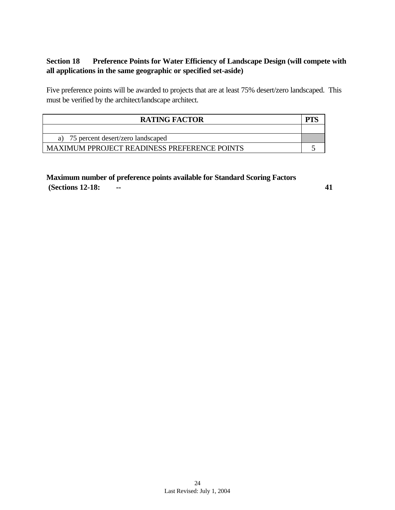# **Section 18 Preference Points for Water Efficiency of Landscape Design (will compete with all applications in the same geographic or specified set-aside)**

Five preference points will be awarded to projects that are at least 75% desert/zero landscaped. This must be verified by the architect/landscape architect.

| <b>RATING FACTOR</b>                                |  |
|-----------------------------------------------------|--|
|                                                     |  |
| 75 percent desert/zero landscaped                   |  |
| <b>MAXIMUM PPROJECT READINESS PREFERENCE POINTS</b> |  |

**Maximum number of preference points available for Standard Scoring Factors (Sections 12-18: -- 41**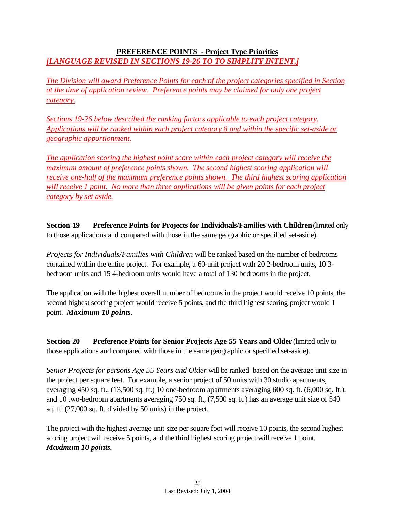# **PREFERENCE POINTS - Project Type Priorities** *[LANGUAGE REVISED IN SECTIONS 19-26 TO TO SIMPLITY INTENT.]*

*The Division will award Preference Points for each of the project categories specified in Section at the time of application review. Preference points may be claimed for only one project category.*

*Sections 19-26 below described the ranking factors applicable to each project category. Applications will be ranked within each project category 8 and within the specific set-aside or geographic apportionment.*

*The application scoring the highest point score within each project category will receive the maximum amount of preference points shown. The second highest scoring application will receive one-half of the maximum preference points shown. The third highest scoring application will receive 1 point. No more than three applications will be given points for each project category by set aside.*

**Section 19 Preference Points for Projects for Individuals/Families with Children** (limited only to those applications and compared with those in the same geographic or specified set-aside).

*Projects for Individuals/Families with Children* will be ranked based on the number of bedrooms contained within the entire project. For example, a 60-unit project with 20 2-bedroom units, 10 3 bedroom units and 15 4-bedroom units would have a total of 130 bedrooms in the project.

The application with the highest overall number of bedrooms in the project would receive 10 points, the second highest scoring project would receive 5 points, and the third highest scoring project would 1 point. *Maximum 10 points.*

**Section 20 Preference Points for Senior Projects Age 55 Years and Older** (limited only to those applications and compared with those in the same geographic or specified set-aside).

*Senior Projects for persons Age 55 Years and Older* will be ranked based on the average unit size in the project per square feet. For example, a senior project of 50 units with 30 studio apartments, averaging 450 sq. ft., (13,500 sq. ft.) 10 one-bedroom apartments averaging 600 sq. ft. (6,000 sq. ft.), and 10 two-bedroom apartments averaging 750 sq. ft., (7,500 sq. ft.) has an average unit size of 540 sq. ft. (27,000 sq. ft. divided by 50 units) in the project.

The project with the highest average unit size per square foot will receive 10 points, the second highest scoring project will receive 5 points, and the third highest scoring project will receive 1 point. *Maximum 10 points.*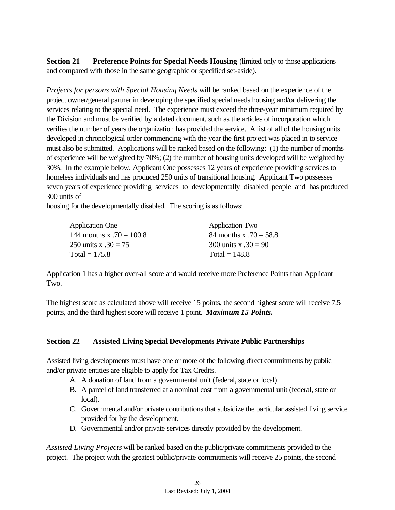**Section 21 Preference Points for Special Needs Housing** (limited only to those applications and compared with those in the same geographic or specified set-aside).

*Projects for persons with Special Housing Needs* will be ranked based on the experience of the project owner/general partner in developing the specified special needs housing and/or delivering the services relating to the special need. The experience must exceed the three-year minimum required by the Division and must be verified by a dated document, such as the articles of incorporation which verifies the number of years the organization has provided the service. A list of all of the housing units developed in chronological order commencing with the year the first project was placed in to service must also be submitted. Applications will be ranked based on the following: (1) the number of months of experience will be weighted by 70%; (2) the number of housing units developed will be weighted by 30%. In the example below, Applicant One possesses 12 years of experience providing services to homeless individuals and has produced 250 units of transitional housing. Applicant Two possesses seven years of experience providing services to developmentally disabled people and has produced 300 units of

housing for the developmentally disabled. The scoring is as follows:

| <b>Application One</b>     | <b>Application Two</b>   |
|----------------------------|--------------------------|
| 144 months x $.70 = 100.8$ | 84 months x $.70 = 58.8$ |
| 250 units x $.30 = 75$     | 300 units x $.30 = 90$   |
| Total = $175.8$            | Total = $148.8$          |

Application 1 has a higher over-all score and would receive more Preference Points than Applicant Two.

The highest score as calculated above will receive 15 points, the second highest score will receive 7.5 points, and the third highest score will receive 1 point. *Maximum 15 Points.*

# **Section 22 Assisted Living Special Developments Private Public Partnerships**

Assisted living developments must have one or more of the following direct commitments by public and/or private entities are eligible to apply for Tax Credits.

- A. A donation of land from a governmental unit (federal, state or local).
- B. A parcel of land transferred at a nominal cost from a governmental unit (federal, state or local).
- C. Governmental and/or private contributions that subsidize the particular assisted living service provided for by the development.
- D. Governmental and/or private services directly provided by the development.

*Assisted Living Projects* will be ranked based on the public/private commitments provided to the project. The project with the greatest public/private commitments will receive 25 points, the second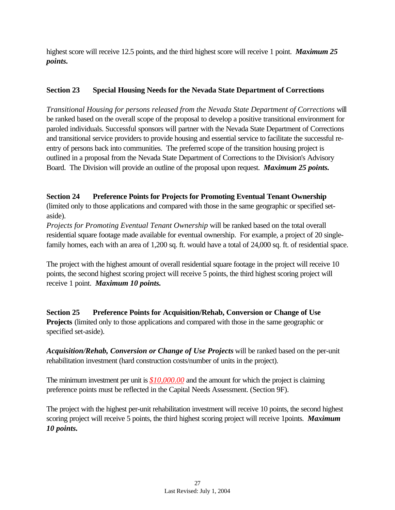highest score will receive 12.5 points, and the third highest score will receive 1 point. *Maximum 25 points.*

# **Section 23 Special Housing Needs for the Nevada State Department of Corrections**

*Transitional Housing for persons released from the Nevada State Department of Corrections* will be ranked based on the overall scope of the proposal to develop a positive transitional environment for paroled individuals. Successful sponsors will partner with the Nevada State Department of Corrections and transitional service providers to provide housing and essential service to facilitate the successful reentry of persons back into communities. The preferred scope of the transition housing project is outlined in a proposal from the Nevada State Department of Corrections to the Division's Advisory Board. The Division will provide an outline of the proposal upon request. *Maximum 25 points.*

### **Section 24 Preference Points for Projects for Promoting Eventual Tenant Ownership**

(limited only to those applications and compared with those in the same geographic or specified setaside).

*Projects for Promoting Eventual Tenant Ownership* will be ranked based on the total overall residential square footage made available for eventual ownership. For example, a project of 20 singlefamily homes, each with an area of 1,200 sq. ft. would have a total of 24,000 sq. ft. of residential space.

The project with the highest amount of overall residential square footage in the project will receive 10 points, the second highest scoring project will receive 5 points, the third highest scoring project will receive 1 point. *Maximum 10 points.*

**Section 25 Preference Points for Acquisition/Rehab, Conversion or Change of Use Projects** (limited only to those applications and compared with those in the same geographic or specified set-aside).

*Acquisition/Rehab, Conversion or Change of Use Projects* will be ranked based on the per-unit rehabilitation investment (hard construction costs/number of units in the project).

The minimum investment per unit is *\$10,000.00* and the amount for which the project is claiming preference points must be reflected in the Capital Needs Assessment. (Section 9F).

The project with the highest per-unit rehabilitation investment will receive 10 points, the second highest scoring project will receive 5 points, the third highest scoring project will receive 1points. *Maximum 10 points.*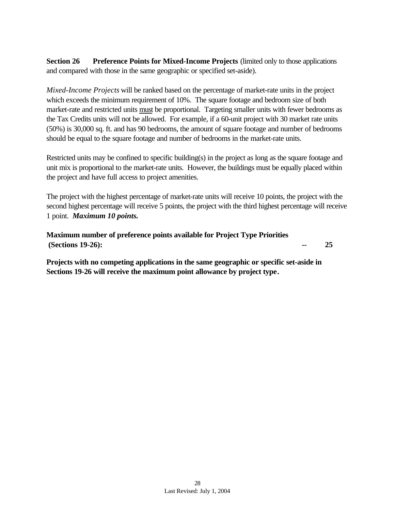**Section 26 Preference Points for Mixed-Income Projects** (limited only to those applications and compared with those in the same geographic or specified set-aside).

*Mixed-Income Projects* will be ranked based on the percentage of market-rate units in the project which exceeds the minimum requirement of 10%. The square footage and bedroom size of both market-rate and restricted units must be proportional. Targeting smaller units with fewer bedrooms as the Tax Credits units will not be allowed. For example, if a 60-unit project with 30 market rate units (50%) is 30,000 sq. ft. and has 90 bedrooms, the amount of square footage and number of bedrooms should be equal to the square footage and number of bedrooms in the market-rate units.

Restricted units may be confined to specific building(s) in the project as long as the square footage and unit mix is proportional to the market-rate units. However, the buildings must be equally placed within the project and have full access to project amenities.

The project with the highest percentage of market-rate units will receive 10 points, the project with the second highest percentage will receive 5 points, the project with the third highest percentage will receive 1 point. *Maximum 10 points.*

**Maximum number of preference points available for Project Type Priorities (Sections 19-26): -- 25**

**Projects with no competing applications in the same geographic or specific set-aside in Sections 19-26 will receive the maximum point allowance by project type***.*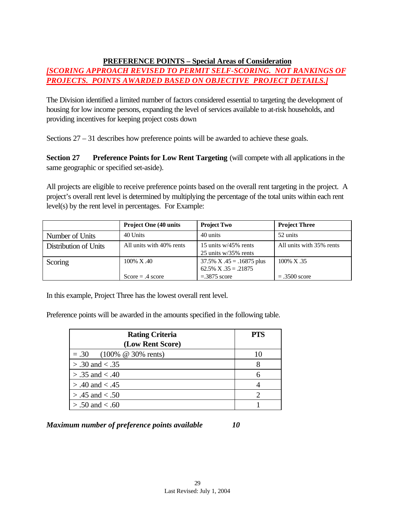## **PREFERENCE POINTS – Special Areas of Consideration**

# *[SCORING APPROACH REVISED TO PERMIT SELF-SCORING. NOT RANKINGS OF PROJECTS. POINTS AWARDED BASED ON OBJECTIVE PROJECT DETAILS.]*

The Division identified a limited number of factors considered essential to targeting the development of housing for low income persons, expanding the level of services available to at-risk households, and providing incentives for keeping project costs down

Sections 27 – 31 describes how preference points will be awarded to achieve these goals.

**Section 27 Preference Points for Low Rent Targeting** (will compete with all applications in the same geographic or specified set-aside).

All projects are eligible to receive preference points based on the overall rent targeting in the project. A project's overall rent level is determined by multiplying the percentage of the total units within each rent level(s) by the rent level in percentages. For Example:

| 52 units                                |
|-----------------------------------------|
|                                         |
| All units with 35% rents                |
| $100\% \text{ X}$ .35<br>$=.3500$ score |
|                                         |

In this example, Project Three has the lowest overall rent level.

Preference points will be awarded in the amounts specified in the following table.

| <b>Rating Criteria</b>     | <b>PTS</b> |
|----------------------------|------------|
| (Low Rent Score)           |            |
| $= .30$ (100% @ 30% rents) | 10         |
| $> .30$ and $< .35$        |            |
| $> .35$ and $< .40$        |            |
| $> .40$ and $< .45$        |            |
| $> .45$ and $< .50$        |            |
| $> .50$ and $< .60$        |            |

*Maximum number of preference points available 10*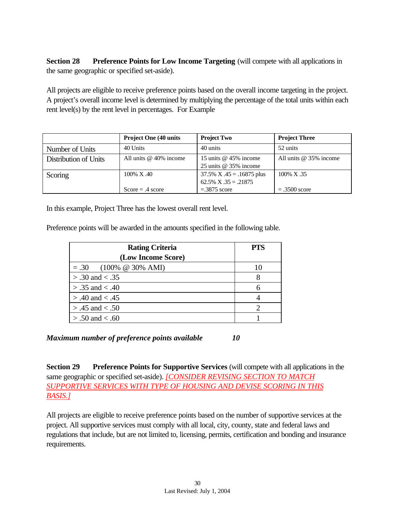**Section 28 Preference Points for Low Income Targeting** (will compete with all applications in the same geographic or specified set-aside).

All projects are eligible to receive preference points based on the overall income targeting in the project. A project's overall income level is determined by multiplying the percentage of the total units within each rent level(s) by the rent level in percentages. For Example

|                       | <b>Project One (40 units)</b> | <b>Project Two</b>                                          | <b>Project Three</b>     |
|-----------------------|-------------------------------|-------------------------------------------------------------|--------------------------|
| Number of Units       | 40 Units                      | 40 units                                                    | 52 units                 |
| Distribution of Units | All units $@$ 40% income      | 15 units $@$ 45% income<br>25 units $@$ 35% income          | All units $@35\%$ income |
| 100% X.40<br>Scoring  |                               | $37.5\%$ X $.45 = .16875$ plus<br>$62.5\%$ X $.35 = .21875$ | 100% X .35               |
|                       | $Score = .4 score$            | $=.3875$ score                                              | $=.3500$ score           |

In this example, Project Three has the lowest overall rent level.

Preference points will be awarded in the amounts specified in the following table.

| <b>Rating Criteria</b>  | <b>PTS</b> |
|-------------------------|------------|
| (Low Income Score)      |            |
| $=.30$ (100% @ 30% AMI) | 10         |
| $> .30$ and $< .35$     |            |
| $> .35$ and $< .40$     |            |
| $> .40$ and $< .45$     |            |
| $> .45$ and $< .50$     |            |
| $> .50$ and $< .60$     |            |

*Maximum number of preference points available 10*

**Section 29 Preference Points for Supportive Services** (will compete with all applications in the same geographic or specified set-aside). *[CONSIDER REVISING SECTION TO MATCH SUPPORTIVE SERVICES WITH TYPE OF HOUSING AND DEVISE SCORING IN THIS BASIS.]*

All projects are eligible to receive preference points based on the number of supportive services at the project. All supportive services must comply with all local, city, county, state and federal laws and regulations that include, but are not limited to, licensing, permits, certification and bonding and insurance requirements.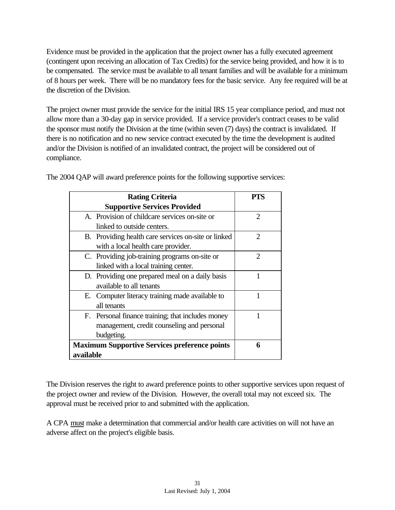Evidence must be provided in the application that the project owner has a fully executed agreement (contingent upon receiving an allocation of Tax Credits) for the service being provided, and how it is to be compensated. The service must be available to all tenant families and will be available for a minimum of 8 hours per week. There will be no mandatory fees for the basic service. Any fee required will be at the discretion of the Division.

The project owner must provide the service for the initial IRS 15 year compliance period, and must not allow more than a 30-day gap in service provided. If a service provider's contract ceases to be valid the sponsor must notify the Division at the time (within seven (7) days) the contract is invalidated. If there is no notification and no new service contract executed by the time the development is audited and/or the Division is notified of an invalidated contract, the project will be considered out of compliance.

|                                                      | PTS                                                 |                             |
|------------------------------------------------------|-----------------------------------------------------|-----------------------------|
|                                                      | <b>Supportive Services Provided</b>                 |                             |
|                                                      | A. Provision of childcare services on-site or       | $\mathfrak{D}$              |
|                                                      | linked to outside centers.                          |                             |
|                                                      | B. Providing health care services on-site or linked | $\mathcal{D}_{\mathcal{A}}$ |
|                                                      | with a local health care provider.                  |                             |
|                                                      | C. Providing job-training programs on-site or       | $\mathcal{D}_{\mathcal{L}}$ |
|                                                      | linked with a local training center.                |                             |
|                                                      | D. Providing one prepared meal on a daily basis     |                             |
|                                                      | available to all tenants                            |                             |
|                                                      | E. Computer literacy training made available to     |                             |
|                                                      | all tenants                                         |                             |
|                                                      | F. Personal finance training; that includes money   |                             |
|                                                      | management, credit counseling and personal          |                             |
|                                                      | budgeting.                                          |                             |
| <b>Maximum Supportive Services preference points</b> | 6                                                   |                             |
| available                                            |                                                     |                             |

The 2004 QAP will award preference points for the following supportive services:

The Division reserves the right to award preference points to other supportive services upon request of the project owner and review of the Division. However, the overall total may not exceed six. The approval must be received prior to and submitted with the application.

A CPA must make a determination that commercial and/or health care activities on will not have an adverse affect on the project's eligible basis.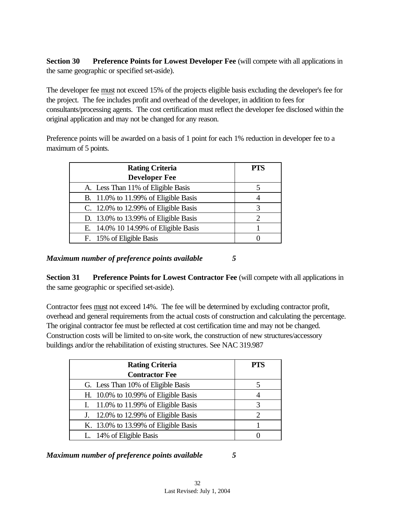**Section 30 Preference Points for Lowest Developer Fee** (will compete with all applications in the same geographic or specified set-aside).

The developer fee must not exceed 15% of the projects eligible basis excluding the developer's fee for the project. The fee includes profit and overhead of the developer, in addition to fees for consultants/processing agents. The cost certification must reflect the developer fee disclosed within the original application and may not be changed for any reason.

Preference points will be awarded on a basis of 1 point for each 1% reduction in developer fee to a maximum of 5 points.

| <b>Rating Criteria</b>               | <b>PTS</b> |
|--------------------------------------|------------|
| <b>Developer Fee</b>                 |            |
| A. Less Than 11% of Eligible Basis   |            |
| B. 11.0% to 11.99% of Eligible Basis |            |
| C. 12.0% to 12.99% of Eligible Basis | 3          |
| D. 13.0% to 13.99% of Eligible Basis | 2          |
| E. 14.0% 10 14.99% of Eligible Basis |            |
| F. 15% of Eligible Basis             |            |

*Maximum number of preference points available 5*

**Section 31 Preference Points for Lowest Contractor Fee** (will compete with all applications in the same geographic or specified set-aside).

Contractor fees must not exceed 14%. The fee will be determined by excluding contractor profit, overhead and general requirements from the actual costs of construction and calculating the percentage. The original contractor fee must be reflected at cost certification time and may not be changed. Construction costs will be limited to on-site work, the construction of new structures/accessory buildings and/or the rehabilitation of existing structures. See NAC 319.987

| <b>Rating Criteria</b>                  | <b>PTS</b> |
|-----------------------------------------|------------|
| <b>Contractor Fee</b>                   |            |
| G. Less Than 10% of Eligible Basis      |            |
| H. 10.0% to 10.99% of Eligible Basis    |            |
| I. $11.0\%$ to 11.99% of Eligible Basis | 3          |
| J. 12.0% to 12.99% of Eligible Basis    |            |
| K. 13.0% to 13.99% of Eligible Basis    |            |
| L. 14% of Eligible Basis                |            |

*Maximum number of preference points available 5*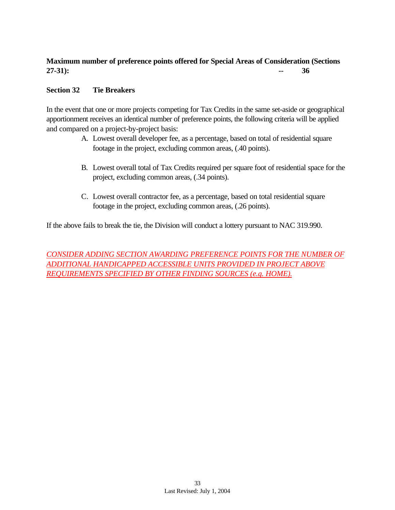# **Maximum number of preference points offered for Special Areas of Consideration (Sections 27-31): -- 36**

## **Section 32 Tie Breakers**

In the event that one or more projects competing for Tax Credits in the same set-aside or geographical apportionment receives an identical number of preference points, the following criteria will be applied and compared on a project-by-project basis:

- A. Lowest overall developer fee, as a percentage, based on total of residential square footage in the project, excluding common areas, (.40 points).
- B. Lowest overall total of Tax Credits required per square foot of residential space for the project, excluding common areas, (.34 points).
- C. Lowest overall contractor fee, as a percentage, based on total residential square footage in the project, excluding common areas, (.26 points).

If the above fails to break the tie, the Division will conduct a lottery pursuant to NAC 319.990.

*CONSIDER ADDING SECTION AWARDING PREFERENCE POINTS FOR THE NUMBER OF ADDITIONAL HANDICAPPED ACCESSIBLE UNITS PROVIDED IN PROJECT ABOVE REQUIREMENTS SPECIFIED BY OTHER FINDING SOURCES (e.g. HOME).*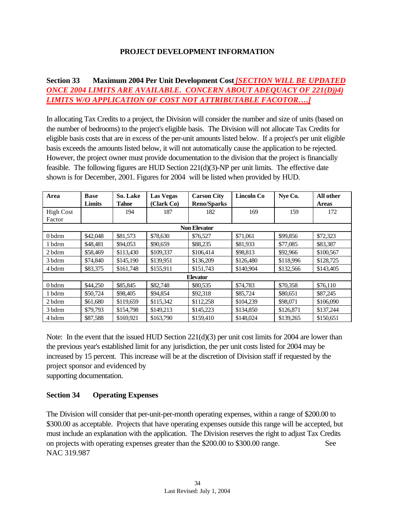# **PROJECT DEVELOPMENT INFORMATION**

# **Section 33 Maximum 2004 Per Unit Development Cost** *[SECTION WILL BE UPDATED ONCE 2004 LIMITS ARE AVAILABLE. CONCERN ABOUT ADEQUACY OF 221(D))4) LIMITS W/O APPLICATION OF COST NOT ATTRIBUTABLE FACOTOR….]*

In allocating Tax Credits to a project, the Division will consider the number and size of units (based on the number of bedrooms) to the project's eligible basis. The Division will not allocate Tax Credits for eligible basis costs that are in excess of the per-unit amounts listed below. If a project's per unit eligible basis exceeds the amounts listed below, it will not automatically cause the application to be rejected. However, the project owner must provide documentation to the division that the project is financially feasible. The following figures are HUD Section 221(d)(3)-NP per unit limits. The effective date shown is for December, 2001. Figures for 2004 will be listed when provided by HUD.

| Area             | <b>Base</b> | So. Lake     | <b>Las Vegas</b> | <b>Carson City</b>  | <b>Lincoln Co</b> | Nye Co.   | All other    |
|------------------|-------------|--------------|------------------|---------------------|-------------------|-----------|--------------|
|                  | Limits      | <b>Tahoe</b> | (Clark Co)       | <b>Reno/Sparks</b>  |                   |           | <b>Areas</b> |
| <b>High Cost</b> |             | 194          | 187              | 182                 | 169               | 159       | 172          |
| Factor           |             |              |                  |                     |                   |           |              |
|                  |             |              |                  | <b>Non Elevator</b> |                   |           |              |
| 0 bdrm           | \$42,048    | \$81,573     | \$78,630         | \$76,527            | \$71,061          | \$99,856  | \$72,323     |
| 1 bdrm           | \$48,481    | \$94,053     | \$90,659         | \$88,235            | \$81,933          | \$77,085  | \$83,387     |
| 2 bdrm           | \$58,469    | \$113,430    | \$109,337        | \$106,414           | \$98,813          | \$92,966  | \$100,567    |
| 3 bdrm           | \$74,840    | \$145,190    | \$139,951        | \$136,209           | \$126,480         | \$118,996 | \$128,725    |
| 4 bdrm           | \$83,375    | \$161,748    | \$155,911        | \$151,743           | \$140,904         | \$132,566 | \$143,405    |
| <b>Elevator</b>  |             |              |                  |                     |                   |           |              |
| 0 bdrm           | \$44,250    | \$85,845     | \$82,748         | \$80,535            | \$74,783          | \$70,358  | \$76,110     |
| 1 bdrm           | \$50,724    | \$98,405     | \$94,854         | \$92,318            | \$85,724          | \$80,651  | \$87,245     |
| 2 bdrm           | \$61,680    | \$119,659    | \$115,342        | \$112,258           | \$104,239         | \$98,071  | \$106,090    |
| 3 bdrm           | \$79,793    | \$154,798    | \$149,213        | \$145,223           | \$134,850         | \$126,871 | \$137,244    |
| 4 bdrm           | \$87,588    | \$169,921    | \$163,790        | \$159,410           | \$148,024         | \$139,265 | \$150,651    |

Note: In the event that the issued HUD Section 221(d)(3) per unit cost limits for 2004 are lower than the previous year's established limit for any jurisdiction, the per unit costs listed for 2004 may be increased by 15 percent. This increase will be at the discretion of Division staff if requested by the project sponsor and evidenced by supporting documentation.

### **Section 34 Operating Expenses**

The Division will consider that per-unit-per-month operating expenses, within a range of \$200.00 to \$300.00 as acceptable. Projects that have operating expenses outside this range will be accepted, but must include an explanation with the application. The Division reserves the right to adjust Tax Credits on projects with operating expenses greater than the \$200.00 to \$300.00 range. See NAC 319.987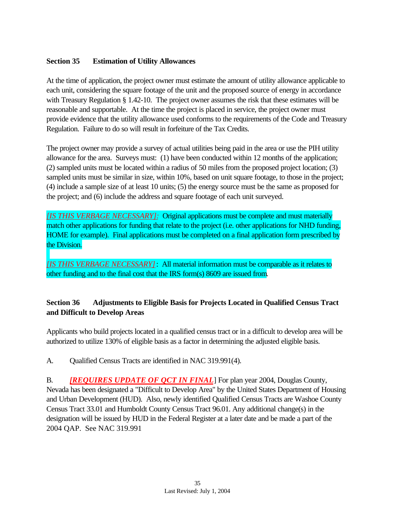## **Section 35 Estimation of Utility Allowances**

At the time of application, the project owner must estimate the amount of utility allowance applicable to each unit, considering the square footage of the unit and the proposed source of energy in accordance with Treasury Regulation § 1.42-10. The project owner assumes the risk that these estimates will be reasonable and supportable. At the time the project is placed in service, the project owner must provide evidence that the utility allowance used conforms to the requirements of the Code and Treasury Regulation. Failure to do so will result in forfeiture of the Tax Credits.

The project owner may provide a survey of actual utilities being paid in the area or use the PIH utility allowance for the area. Surveys must: (1) have been conducted within 12 months of the application; (2) sampled units must be located within a radius of 50 miles from the proposed project location; (3) sampled units must be similar in size, within 10%, based on unit square footage, to those in the project; (4) include a sample size of at least 10 units; (5) the energy source must be the same as proposed for the project; and (6) include the address and square footage of each unit surveyed.

*[IS THIS VERBAGE NECESSARY]:* Original applications must be complete and must materially match other applications for funding that relate to the project (i.e. other applications for NHD funding, HOME for example). Final applications must be completed on a final application form prescribed by the Division.

*[IS THIS VERBAGE NECESSARY]*: All material information must be comparable as it relates to other funding and to the final cost that the IRS form(s) 8609 are issued from.

# **Section 36 Adjustments to Eligible Basis for Projects Located in Qualified Census Tract and Difficult to Develop Areas**

Applicants who build projects located in a qualified census tract or in a difficult to develop area will be authorized to utilize 130% of eligible basis as a factor in determining the adjusted eligible basis.

A. Qualified Census Tracts are identified in NAC 319.991(4).

B. *[REQUIRES UPDATE OF QCT IN FINAL*] For plan year 2004, Douglas County, Nevada has been designated a "Difficult to Develop Area" by the United States Department of Housing and Urban Development (HUD). Also, newly identified Qualified Census Tracts are Washoe County Census Tract 33.01 and Humboldt County Census Tract 96.01. Any additional change(s) in the designation will be issued by HUD in the Federal Register at a later date and be made a part of the 2004 QAP. See NAC 319.991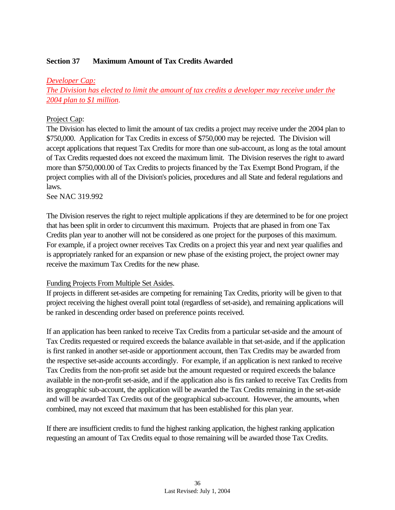## **Section 37 Maximum Amount of Tax Credits Awarded**

### *Developer Cap:*

*The Division has elected to limit the amount of tax credits a developer may receive under the 2004 plan to \$1 million.*

### Project Cap:

The Division has elected to limit the amount of tax credits a project may receive under the 2004 plan to \$750,000. Application for Tax Credits in excess of \$750,000 may be rejected. The Division will accept applications that request Tax Credits for more than one sub-account, as long as the total amount of Tax Credits requested does not exceed the maximum limit. The Division reserves the right to award more than \$750,000.00 of Tax Credits to projects financed by the Tax Exempt Bond Program, if the project complies with all of the Division's policies, procedures and all State and federal regulations and laws.

See NAC 319.992

The Division reserves the right to reject multiple applications if they are determined to be for one project that has been split in order to circumvent this maximum. Projects that are phased in from one Tax Credits plan year to another will not be considered as one project for the purposes of this maximum. For example, if a project owner receives Tax Credits on a project this year and next year qualifies and is appropriately ranked for an expansion or new phase of the existing project, the project owner may receive the maximum Tax Credits for the new phase.

### Funding Projects From Multiple Set Asides.

If projects in different set-asides are competing for remaining Tax Credits, priority will be given to that project receiving the highest overall point total (regardless of set-aside), and remaining applications will be ranked in descending order based on preference points received.

If an application has been ranked to receive Tax Credits from a particular set-aside and the amount of Tax Credits requested or required exceeds the balance available in that set-aside, and if the application is first ranked in another set-aside or apportionment account, then Tax Credits may be awarded from the respective set-aside accounts accordingly. For example, if an application is next ranked to receive Tax Credits from the non-profit set aside but the amount requested or required exceeds the balance available in the non-profit set-aside, and if the application also is firs ranked to receive Tax Credits from its geographic sub-account, the application will be awarded the Tax Credits remaining in the set-aside and will be awarded Tax Credits out of the geographical sub-account. However, the amounts, when combined, may not exceed that maximum that has been established for this plan year.

If there are insufficient credits to fund the highest ranking application, the highest ranking application requesting an amount of Tax Credits equal to those remaining will be awarded those Tax Credits.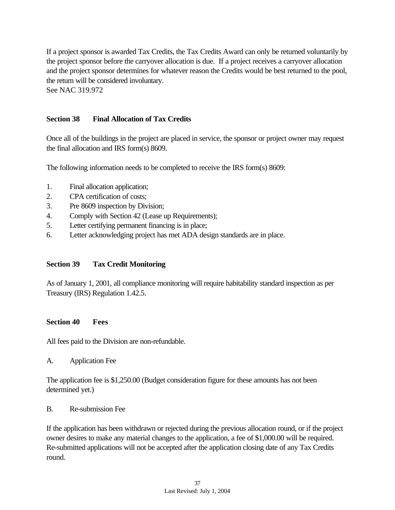If a project sponsor is awarded Tax Credits, the Tax Credits Award can only be returned voluntarily by the project sponsor before the carryover allocation is due. If a project receives a carryover allocation and the project sponsor determines for whatever reason the Credits would be best returned to the pool, the return will be considered involuntary. See NAC 319.972

## **Section 38 Final Allocation of Tax Credits**

Once all of the buildings in the project are placed in service, the sponsor or project owner may request the final allocation and IRS form(s) 8609.

The following information needs to be completed to receive the IRS form(s) 8609:

- 1. Final allocation application;
- 2. CPA certification of costs;
- 3. Pre 8609 inspection by Division;
- 4. Comply with Section 42 (Lease up Requirements);
- 5. Letter certifying permanent financing is in place;
- 6. Letter acknowledging project has met ADA design standards are in place.

### **Section 39 Tax Credit Monitoring**

As of January 1, 2001, all compliance monitoring will require habitability standard inspection as per Treasury (IRS) Regulation 1.42.5.

### **Section 40 Fees**

All fees paid to the Division are non-refundable.

A. Application Fee

The application fee is \$1,250.00 (Budget consideration figure for these amounts has not been determined yet.)

B. Re-submission Fee

If the application has been withdrawn or rejected during the previous allocation round, or if the project owner desires to make any material changes to the application, a fee of \$1,000.00 will be required. Re-submitted applications will not be accepted after the application closing date of any Tax Credits round.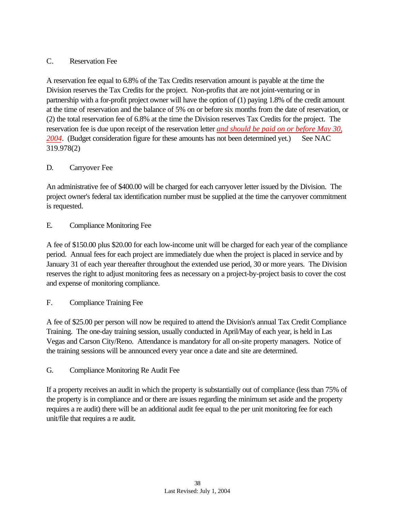## C. Reservation Fee

A reservation fee equal to 6.8% of the Tax Credits reservation amount is payable at the time the Division reserves the Tax Credits for the project. Non-profits that are not joint-venturing or in partnership with a for-profit project owner will have the option of (1) paying 1.8% of the credit amount at the time of reservation and the balance of 5% on or before six months from the date of reservation, or (2) the total reservation fee of 6.8% at the time the Division reserves Tax Credits for the project. The reservation fee is due upon receipt of the reservation letter *and should be paid on or before May 30,* 2004. (Budget consideration figure for these amounts has not been determined yet.) See NAC 319.978(2)

## D. Carryover Fee

An administrative fee of \$400.00 will be charged for each carryover letter issued by the Division. The project owner's federal tax identification number must be supplied at the time the carryover commitment is requested.

## E. Compliance Monitoring Fee

A fee of \$150.00 plus \$20.00 for each low-income unit will be charged for each year of the compliance period. Annual fees for each project are immediately due when the project is placed in service and by January 31 of each year thereafter throughout the extended use period, 30 or more years. The Division reserves the right to adjust monitoring fees as necessary on a project-by-project basis to cover the cost and expense of monitoring compliance.

# F. Compliance Training Fee

A fee of \$25.00 per person will now be required to attend the Division's annual Tax Credit Compliance Training. The one-day training session, usually conducted in April/May of each year, is held in Las Vegas and Carson City/Reno. Attendance is mandatory for all on-site property managers. Notice of the training sessions will be announced every year once a date and site are determined.

### G. Compliance Monitoring Re Audit Fee

If a property receives an audit in which the property is substantially out of compliance (less than 75% of the property is in compliance and or there are issues regarding the minimum set aside and the property requires a re audit) there will be an additional audit fee equal to the per unit monitoring fee for each unit/file that requires a re audit.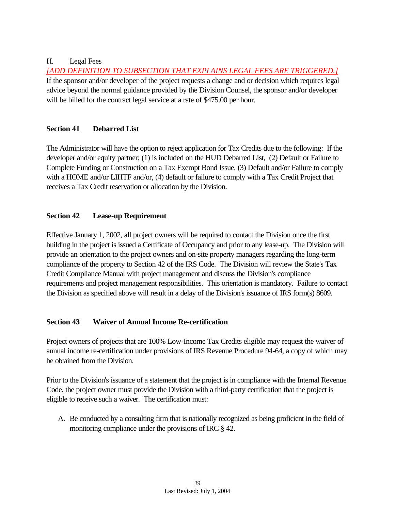# H. Legal Fees

*[ADD DEFINITION TO SUBSECTION THAT EXPLAINS LEGAL FEES ARE TRIGGERED.]* If the sponsor and/or developer of the project requests a change and or decision which requires legal advice beyond the normal guidance provided by the Division Counsel, the sponsor and/or developer will be billed for the contract legal service at a rate of \$475.00 per hour.

# **Section 41 Debarred List**

The Administrator will have the option to reject application for Tax Credits due to the following: If the developer and/or equity partner; (1) is included on the HUD Debarred List, (2) Default or Failure to Complete Funding or Construction on a Tax Exempt Bond Issue, (3) Default and/or Failure to comply with a HOME and/or LIHTF and/or, (4) default or failure to comply with a Tax Credit Project that receives a Tax Credit reservation or allocation by the Division.

# **Section 42 Lease-up Requirement**

Effective January 1, 2002, all project owners will be required to contact the Division once the first building in the project is issued a Certificate of Occupancy and prior to any lease-up. The Division will provide an orientation to the project owners and on-site property managers regarding the long-term compliance of the property to Section 42 of the IRS Code. The Division will review the State's Tax Credit Compliance Manual with project management and discuss the Division's compliance requirements and project management responsibilities. This orientation is mandatory. Failure to contact the Division as specified above will result in a delay of the Division's issuance of IRS form(s) 8609.

# **Section 43 Waiver of Annual Income Re-certification**

Project owners of projects that are 100% Low-Income Tax Credits eligible may request the waiver of annual income re-certification under provisions of IRS Revenue Procedure 94-64, a copy of which may be obtained from the Division.

Prior to the Division's issuance of a statement that the project is in compliance with the Internal Revenue Code, the project owner must provide the Division with a third-party certification that the project is eligible to receive such a waiver. The certification must:

A. Be conducted by a consulting firm that is nationally recognized as being proficient in the field of monitoring compliance under the provisions of IRC § 42.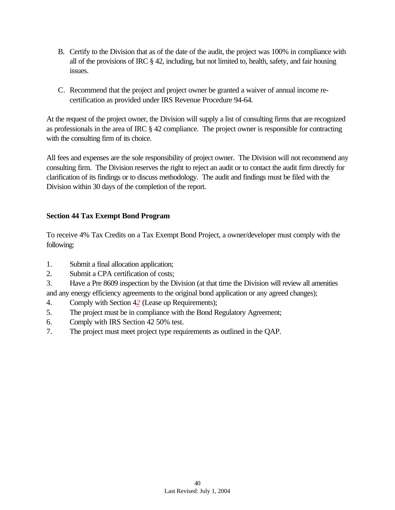- B. Certify to the Division that as of the date of the audit, the project was 100% in compliance with all of the provisions of IRC § 42, including, but not limited to, health, safety, and fair housing issues.
- C. Recommend that the project and project owner be granted a waiver of annual income recertification as provided under IRS Revenue Procedure 94-64.

At the request of the project owner, the Division will supply a list of consulting firms that are recognized as professionals in the area of IRC § 42 compliance. The project owner is responsible for contracting with the consulting firm of its choice.

All fees and expenses are the sole responsibility of project owner. The Division will not recommend any consulting firm. The Division reserves the right to reject an audit or to contact the audit firm directly for clarification of its findings or to discuss methodology. The audit and findings must be filed with the Division within 30 days of the completion of the report.

## **Section 44 Tax Exempt Bond Program**

To receive 4% Tax Credits on a Tax Exempt Bond Project, a owner/developer must comply with the following:

- 1. Submit a final allocation application;
- 2. Submit a CPA certification of costs;
- 3. Have a Pre 8609 inspection by the Division (at that time the Division will review all amenities and any energy efficiency agreements to the original bond application or any agreed changes);
- 4. Comply with Section 4*2* (Lease up Requirements);
- 5. The project must be in compliance with the Bond Regulatory Agreement;
- 6. Comply with IRS Section 42 50% test.
- 7. The project must meet project type requirements as outlined in the QAP.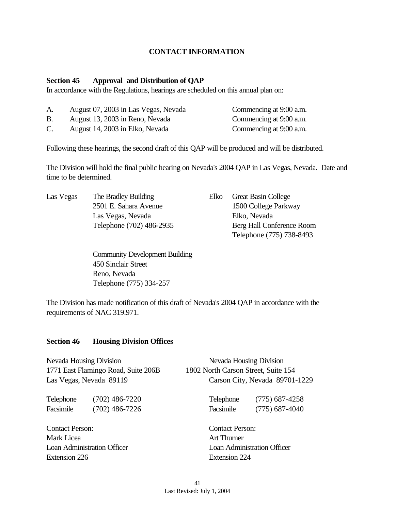### **CONTACT INFORMATION**

### **Section 45 Approval and Distribution of QAP**

In accordance with the Regulations, hearings are scheduled on this annual plan on:

| A.             | August 07, 2003 in Las Vegas, Nevada | Commencing at 9:00 a.m. |
|----------------|--------------------------------------|-------------------------|
| В.             | August 13, 2003 in Reno, Nevada      | Commencing at 9:00 a.m. |
| $\mathbf{C}$ . | August 14, 2003 in Elko, Nevada      | Commencing at 9:00 a.m. |

Following these hearings, the second draft of this QAP will be produced and will be distributed.

The Division will hold the final public hearing on Nevada's 2004 QAP in Las Vegas, Nevada. Date and time to be determined.

| Las Vegas | The Bradley Building     | Elko Great Basin College  |
|-----------|--------------------------|---------------------------|
|           | 2501 E. Sahara Avenue    | 1500 College Parkway      |
|           | Las Vegas, Nevada        | Elko, Nevada              |
|           | Telephone (702) 486-2935 | Berg Hall Conference Room |
|           |                          |                           |

Community Development Building 450 Sinclair Street Reno, Nevada Telephone (775) 334-257

Telephone (775) 738-8493

The Division has made notification of this draft of Nevada's 2004 QAP in accordance with the requirements of NAC 319.971.

### **Section 46 Housing Division Offices**

| Nevada Housing Division     | 1771 East Flamingo Road, Suite 206B<br>Las Vegas, Nevada 89119 | Nevada Housing Division<br>1802 North Carson Street, Suite 154<br>Carson City, Nevada 89701-1229 |  |  |
|-----------------------------|----------------------------------------------------------------|--------------------------------------------------------------------------------------------------|--|--|
| Telephone<br>Facsimile      | $(702)$ 486-7220<br>$(702)$ 486-7226                           | $(775)$ 687-4258<br>Telephone<br>$(775)$ 687-4040<br>Facsimile                                   |  |  |
| <b>Contact Person:</b>      |                                                                | <b>Contact Person:</b>                                                                           |  |  |
| Mark Licea                  |                                                                | Art Thurner                                                                                      |  |  |
| Loan Administration Officer |                                                                | Loan Administration Officer                                                                      |  |  |
| Extension 226               |                                                                | Extension 224                                                                                    |  |  |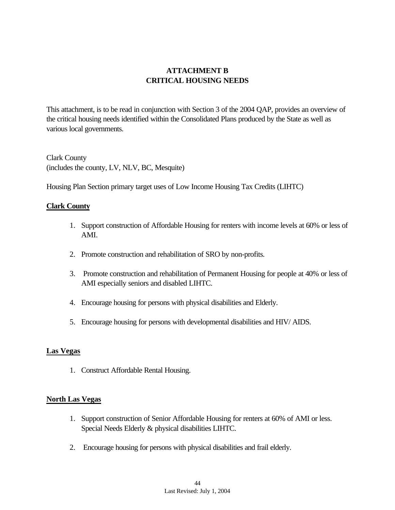# **ATTACHMENT B CRITICAL HOUSING NEEDS**

This attachment, is to be read in conjunction with Section 3 of the 2004 QAP, provides an overview of the critical housing needs identified within the Consolidated Plans produced by the State as well as various local governments.

Clark County (includes the county, LV, NLV, BC, Mesquite)

Housing Plan Section primary target uses of Low Income Housing Tax Credits (LIHTC)

### **Clark County**

- 1. Support construction of Affordable Housing for renters with income levels at 60% or less of AMI.
- 2. Promote construction and rehabilitation of SRO by non-profits.
- 3. Promote construction and rehabilitation of Permanent Housing for people at 40% or less of AMI especially seniors and disabled LIHTC.
- 4. Encourage housing for persons with physical disabilities and Elderly.
- 5. Encourage housing for persons with developmental disabilities and HIV/ AIDS.

### **Las Vegas**

1. Construct Affordable Rental Housing.

### **North Las Vegas**

- 1. Support construction of Senior Affordable Housing for renters at 60% of AMI or less. Special Needs Elderly & physical disabilities LIHTC.
- 2. Encourage housing for persons with physical disabilities and frail elderly.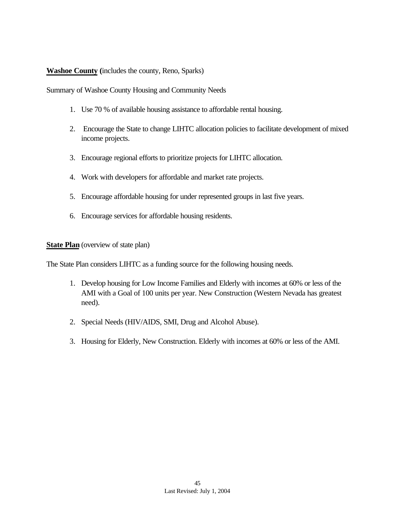### **Washoe County (**includes the county, Reno, Sparks)

Summary of Washoe County Housing and Community Needs

- 1. Use 70 % of available housing assistance to affordable rental housing.
- 2. Encourage the State to change LIHTC allocation policies to facilitate development of mixed income projects.
- 3. Encourage regional efforts to prioritize projects for LIHTC allocation.
- 4. Work with developers for affordable and market rate projects.
- 5. Encourage affordable housing for under represented groups in last five years.
- 6. Encourage services for affordable housing residents.

**State Plan** (overview of state plan)

The State Plan considers LIHTC as a funding source for the following housing needs.

- 1. Develop housing for Low Income Families and Elderly with incomes at 60% or less of the AMI with a Goal of 100 units per year. New Construction (Western Nevada has greatest need).
- 2. Special Needs (HIV/AIDS, SMI, Drug and Alcohol Abuse).
- 3. Housing for Elderly, New Construction. Elderly with incomes at 60% or less of the AMI.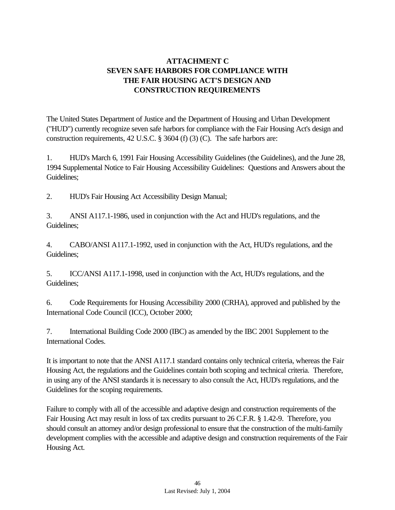# **ATTACHMENT C SEVEN SAFE HARBORS FOR COMPLIANCE WITH THE FAIR HOUSING ACT'S DESIGN AND CONSTRUCTION REQUIREMENTS**

The United States Department of Justice and the Department of Housing and Urban Development ("HUD") currently recognize seven safe harbors for compliance with the Fair Housing Act's design and construction requirements, 42 U.S.C. § 3604 (f) (3) (C). The safe harbors are:

1. HUD's March 6, 1991 Fair Housing Accessibility Guidelines (the Guidelines), and the June 28, 1994 Supplemental Notice to Fair Housing Accessibility Guidelines: Questions and Answers about the Guidelines;

2. HUD's Fair Housing Act Accessibility Design Manual;

3. ANSI A117.1-1986, used in conjunction with the Act and HUD's regulations, and the Guidelines;

4. CABO/ANSI A117.1-1992, used in conjunction with the Act, HUD's regulations, and the Guidelines;

5. ICC/ANSI A117.1-1998, used in conjunction with the Act, HUD's regulations, and the Guidelines;

6. Code Requirements for Housing Accessibility 2000 (CRHA), approved and published by the International Code Council (ICC), October 2000;

7. International Building Code 2000 (IBC) as amended by the IBC 2001 Supplement to the International Codes.

It is important to note that the ANSI A117.1 standard contains only technical criteria, whereas the Fair Housing Act, the regulations and the Guidelines contain both scoping and technical criteria. Therefore, in using any of the ANSI standards it is necessary to also consult the Act, HUD's regulations, and the Guidelines for the scoping requirements.

Failure to comply with all of the accessible and adaptive design and construction requirements of the Fair Housing Act may result in loss of tax credits pursuant to 26 C.F.R. § 1.42-9. Therefore, you should consult an attorney and/or design professional to ensure that the construction of the multi-family development complies with the accessible and adaptive design and construction requirements of the Fair Housing Act.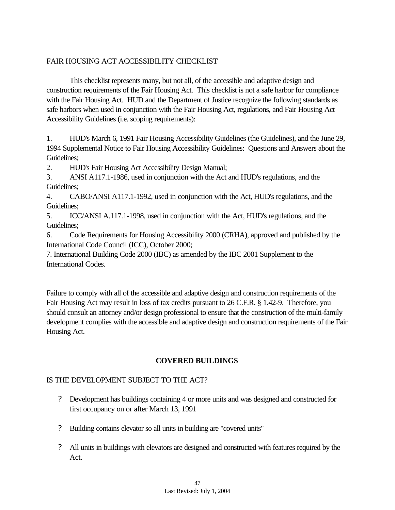## FAIR HOUSING ACT ACCESSIBILITY CHECKLIST

This checklist represents many, but not all, of the accessible and adaptive design and construction requirements of the Fair Housing Act. This checklist is not a safe harbor for compliance with the Fair Housing Act. HUD and the Department of Justice recognize the following standards as safe harbors when used in conjunction with the Fair Housing Act, regulations, and Fair Housing Act Accessibility Guidelines (i.e. scoping requirements):

1. HUD's March 6, 1991 Fair Housing Accessibility Guidelines (the Guidelines), and the June 29, 1994 Supplemental Notice to Fair Housing Accessibility Guidelines: Questions and Answers about the Guidelines;

2. HUD's Fair Housing Act Accessibility Design Manual;

3. ANSI A117.1-1986, used in conjunction with the Act and HUD's regulations, and the Guidelines;

4. CABO/ANSI A117.1-1992, used in conjunction with the Act, HUD's regulations, and the Guidelines;

5. ICC/ANSI A.117.1-1998, used in conjunction with the Act, HUD's regulations, and the Guidelines;

6. Code Requirements for Housing Accessibility 2000 (CRHA), approved and published by the International Code Council (ICC), October 2000;

7. International Building Code 2000 (IBC) as amended by the IBC 2001 Supplement to the International Codes.

Failure to comply with all of the accessible and adaptive design and construction requirements of the Fair Housing Act may result in loss of tax credits pursuant to 26 C.F.R. § 1.42-9. Therefore, you should consult an attorney and/or design professional to ensure that the construction of the multi-family development complies with the accessible and adaptive design and construction requirements of the Fair Housing Act.

### **COVERED BUILDINGS**

### IS THE DEVELOPMENT SUBJECT TO THE ACT?

- ? Development has buildings containing 4 or more units and was designed and constructed for first occupancy on or after March 13, 1991
- ? Building contains elevator so all units in building are "covered units"
- ? All units in buildings with elevators are designed and constructed with features required by the Act.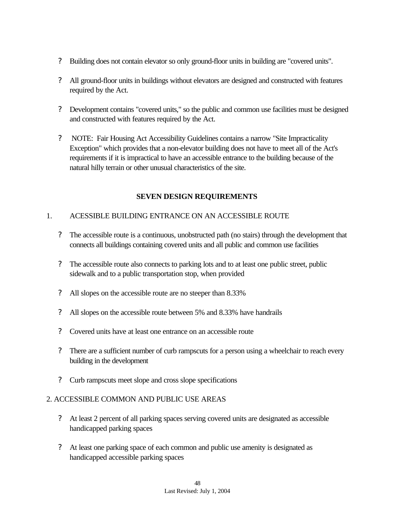- ? Building does not contain elevator so only ground-floor units in building are "covered units".
- ? All ground-floor units in buildings without elevators are designed and constructed with features required by the Act.
- ? Development contains "covered units," so the public and common use facilities must be designed and constructed with features required by the Act.
- ? NOTE: Fair Housing Act Accessibility Guidelines contains a narrow "Site Impracticality Exception" which provides that a non-elevator building does not have to meet all of the Act's requirements if it is impractical to have an accessible entrance to the building because of the natural hilly terrain or other unusual characteristics of the site.

### **SEVEN DESIGN REQUIREMENTS**

### 1. ACESSIBLE BUILDING ENTRANCE ON AN ACCESSIBLE ROUTE

- ? The accessible route is a continuous, unobstructed path (no stairs) through the development that connects all buildings containing covered units and all public and common use facilities
- ? The accessible route also connects to parking lots and to at least one public street, public sidewalk and to a public transportation stop, when provided
- ? All slopes on the accessible route are no steeper than 8.33%
- ? All slopes on the accessible route between 5% and 8.33% have handrails
- ? Covered units have at least one entrance on an accessible route
- ? There are a sufficient number of curb rampscuts for a person using a wheelchair to reach every building in the development
- ? Curb rampscuts meet slope and cross slope specifications

### 2. ACCESSIBLE COMMON AND PUBLIC USE AREAS

- ? At least 2 percent of all parking spaces serving covered units are designated as accessible handicapped parking spaces
- ? At least one parking space of each common and public use amenity is designated as handicapped accessible parking spaces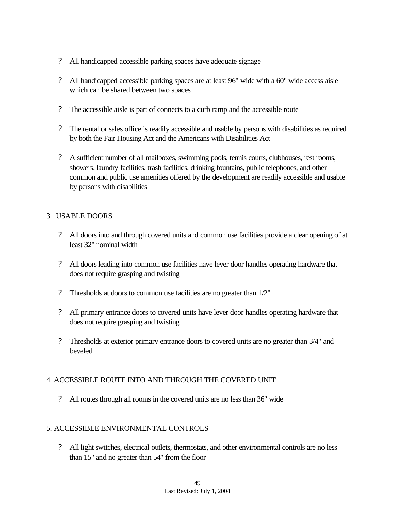- ? All handicapped accessible parking spaces have adequate signage
- ? All handicapped accessible parking spaces are at least 96" wide with a 60" wide access aisle which can be shared between two spaces
- ? The accessible aisle is part of connects to a curb ramp and the accessible route
- ? The rental or sales office is readily accessible and usable by persons with disabilities as required by both the Fair Housing Act and the Americans with Disabilities Act
- ? A sufficient number of all mailboxes, swimming pools, tennis courts, clubhouses, rest rooms, showers, laundry facilities, trash facilities, drinking fountains, public telephones, and other common and public use amenities offered by the development are readily accessible and usable by persons with disabilities

### 3. USABLE DOORS

- ? All doors into and through covered units and common use facilities provide a clear opening of at least 32" nominal width
- ? All doors leading into common use facilities have lever door handles operating hardware that does not require grasping and twisting
- ? Thresholds at doors to common use facilities are no greater than 1/2"
- ? All primary entrance doors to covered units have lever door handles operating hardware that does not require grasping and twisting
- ? Thresholds at exterior primary entrance doors to covered units are no greater than 3/4" and beveled

### 4. ACCESSIBLE ROUTE INTO AND THROUGH THE COVERED UNIT

? All routes through all rooms in the covered units are no less than 36" wide

### 5. ACCESSIBLE ENVIRONMENTAL CONTROLS

? All light switches, electrical outlets, thermostats, and other environmental controls are no less than 15" and no greater than 54" from the floor